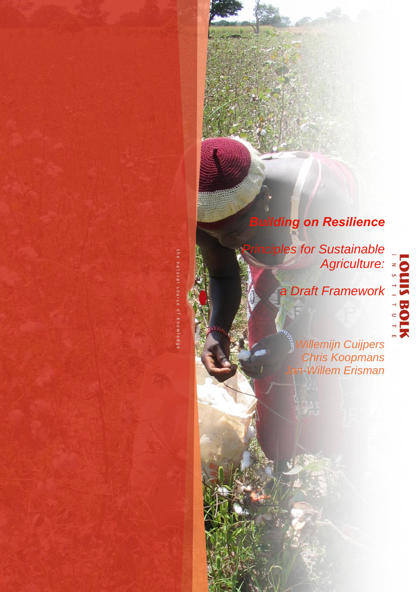# *Building on Resilience*

*Principles for Sustainable Agriculture:*

*a Draft Framework*

the natural source of knowledge

*Willemijn Cuijpers Chris Koopmans Jan-Willem Erisman*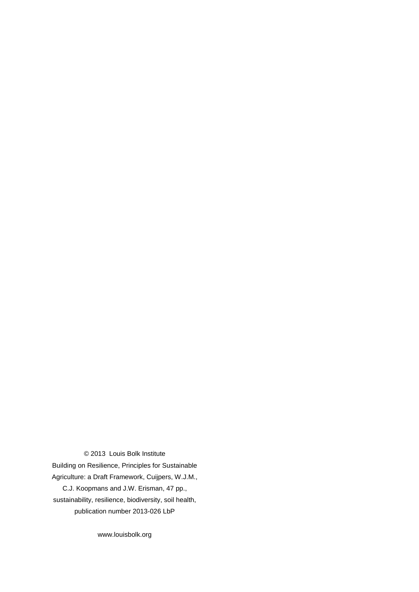© 2013 Louis Bolk Institute

Building on Resilience, Principles for Sustainable Agriculture: a Draft Framework, Cuijpers, W.J.M., C.J. Koopmans and J.W. Erisman, 47 pp., sustainability, resilience, biodiversity, soil health, publication number 2013-026 LbP

www.louisbolk.org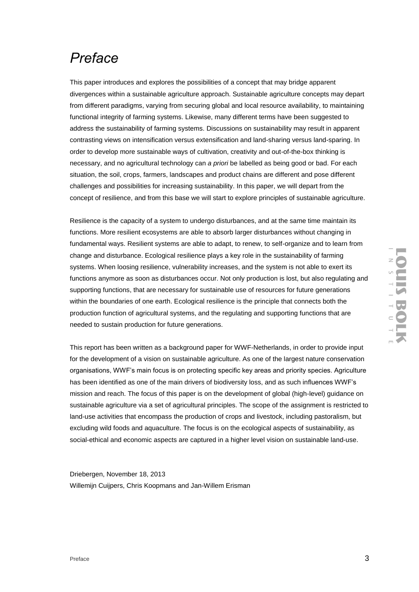# *Preface*

This paper introduces and explores the possibilities of a concept that may bridge apparent divergences within a sustainable agriculture approach. Sustainable agriculture concepts may depart from different paradigms, varying from securing global and local resource availability, to maintaining functional integrity of farming systems. Likewise, many different terms have been suggested to address the sustainability of farming systems. Discussions on sustainability may result in apparent contrasting views on intensification versus extensification and land-sharing versus land-sparing. In order to develop more sustainable ways of cultivation, creativity and out-of-the-box thinking is necessary, and no agricultural technology can *a priori* be labelled as being good or bad. For each situation, the soil, crops, farmers, landscapes and product chains are different and pose different challenges and possibilities for increasing sustainability. In this paper, we will depart from the concept of resilience, and from this base we will start to explore principles of sustainable agriculture.

Resilience is the capacity of a system to undergo disturbances, and at the same time maintain its functions. More resilient ecosystems are able to absorb larger disturbances without changing in fundamental ways. Resilient systems are able to adapt, to renew, to self-organize and to learn from change and disturbance. Ecological resilience plays a key role in the sustainability of farming systems. When loosing resilience, vulnerability increases, and the system is not able to exert its functions anymore as soon as disturbances occur. Not only production is lost, but also regulating and supporting functions, that are necessary for sustainable use of resources for future generations within the boundaries of one earth. Ecological resilience is the principle that connects both the production function of agricultural systems, and the regulating and supporting functions that are needed to sustain production for future generations.

This report has been written as a background paper for WWF-Netherlands, in order to provide input for the development of a vision on sustainable agriculture. As one of the largest nature conservation organisations, WWF's main focus is on protecting specific key areas and priority species. Agriculture has been identified as one of the main drivers of biodiversity loss, and as such influences WWF's mission and reach. The focus of this paper is on the development of global (high-level) guidance on sustainable agriculture via a set of agricultural principles. The scope of the assignment is restricted to land-use activities that encompass the production of crops and livestock, including pastoralism, but excluding wild foods and aquaculture. The focus is on the ecological aspects of sustainability, as social-ethical and economic aspects are captured in a higher level vision on sustainable land-use.

Driebergen, November 18, 2013 Willemijn Cuijpers, Chris Koopmans and Jan-Willem Erisman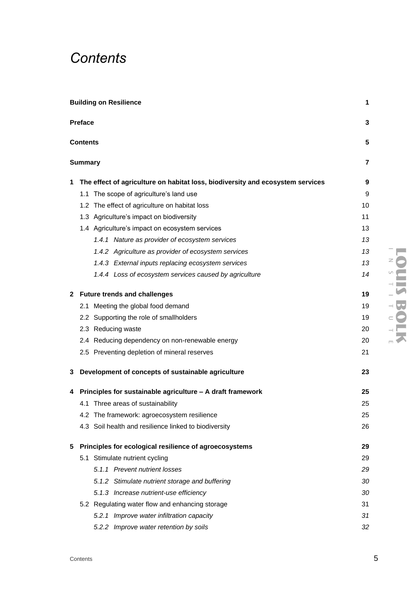# *Contents*

|    | <b>Building on Resilience</b>                                                    | 1. |
|----|----------------------------------------------------------------------------------|----|
|    | Preface                                                                          | 3  |
|    | Contents                                                                         | 5  |
|    | <b>Summary</b>                                                                   | 7  |
|    | 1 The effect of agriculture on habitat loss, biodiversity and ecosystem services | 9  |
|    | 1.1 The scope of agriculture's land use                                          | 9  |
|    | 1.2 The effect of agriculture on habitat loss                                    | 10 |
|    | 1.3 Agriculture's impact on biodiversity                                         | 11 |
|    | 1.4 Agriculture's impact on ecosystem services                                   | 13 |
|    | 1.4.1 Nature as provider of ecosystem services                                   | 13 |
|    | 1.4.2 Agriculture as provider of ecosystem services                              | 13 |
|    | 1.4.3 External inputs replacing ecosystem services                               | 13 |
|    | 1.4.4 Loss of ecosystem services caused by agriculture                           | 14 |
|    | 2 Future trends and challenges                                                   | 19 |
|    | 2.1 Meeting the global food demand                                               | 19 |
|    | 2.2 Supporting the role of smallholders                                          | 19 |
|    | 2.3 Reducing waste                                                               | 20 |
|    | 2.4 Reducing dependency on non-renewable energy                                  | 20 |
|    | 2.5 Preventing depletion of mineral reserves                                     | 21 |
|    | 3 Development of concepts of sustainable agriculture                             | 23 |
|    | 4 Principles for sustainable agriculture - A draft framework                     | 25 |
|    | 4.1 Three areas of sustainability                                                | 25 |
|    | 4.2 The framework: agroecosystem resilience                                      | 25 |
|    | 4.3 Soil health and resilience linked to biodiversity                            | 26 |
| 5. | Principles for ecological resilience of agroecosystems                           | 29 |
|    | 5.1 Stimulate nutrient cycling                                                   | 29 |
|    | 5.1.1 Prevent nutrient losses                                                    | 29 |
|    | 5.1.2 Stimulate nutrient storage and buffering                                   | 30 |
|    | 5.1.3 Increase nutrient-use efficiency                                           | 30 |
|    | 5.2 Regulating water flow and enhancing storage                                  | 31 |
|    | 5.2.1 Improve water infiltration capacity                                        | 31 |
|    | 5.2.2 Improve water retention by soils                                           | 32 |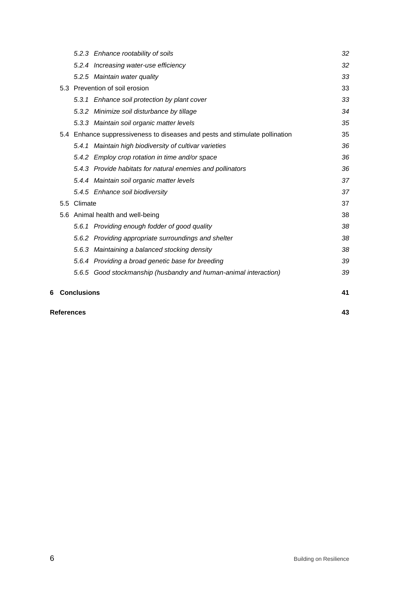|   | <b>References</b>                |                    |                                                                             |    |  |
|---|----------------------------------|--------------------|-----------------------------------------------------------------------------|----|--|
| 6 |                                  | <b>Conclusions</b> |                                                                             | 41 |  |
|   |                                  |                    | 5.6.5 Good stockmanship (husbandry and human-animal interaction)            | 39 |  |
|   |                                  |                    | 5.6.4 Providing a broad genetic base for breeding                           | 39 |  |
|   |                                  |                    | 5.6.3 Maintaining a balanced stocking density                               | 38 |  |
|   |                                  |                    | 5.6.2 Providing appropriate surroundings and shelter                        | 38 |  |
|   |                                  |                    | 5.6.1 Providing enough fodder of good quality                               | 38 |  |
|   | 5.6 Animal health and well-being |                    | 38                                                                          |    |  |
|   |                                  | 5.5 Climate        |                                                                             | 37 |  |
|   |                                  |                    | 5.4.5 Enhance soil biodiversity                                             | 37 |  |
|   |                                  |                    | 5.4.4 Maintain soil organic matter levels                                   | 37 |  |
|   |                                  |                    | 5.4.3 Provide habitats for natural enemies and pollinators                  | 36 |  |
|   |                                  |                    | 5.4.2 Employ crop rotation in time and/or space                             | 36 |  |
|   |                                  |                    | 5.4.1 Maintain high biodiversity of cultivar varieties                      | 36 |  |
|   |                                  |                    | 5.4 Enhance suppressiveness to diseases and pests and stimulate pollination | 35 |  |
|   |                                  |                    | 5.3.3 Maintain soil organic matter levels                                   | 35 |  |
|   |                                  |                    | 5.3.2 Minimize soil disturbance by tillage                                  | 34 |  |
|   |                                  |                    | 5.3.1 Enhance soil protection by plant cover                                | 33 |  |
|   |                                  |                    | 5.3 Prevention of soil erosion                                              | 33 |  |
|   |                                  |                    | 5.2.5 Maintain water quality                                                | 33 |  |
|   |                                  |                    | 5.2.4 Increasing water-use efficiency                                       | 32 |  |
|   |                                  |                    | 5.2.3 Enhance rootability of soils                                          | 32 |  |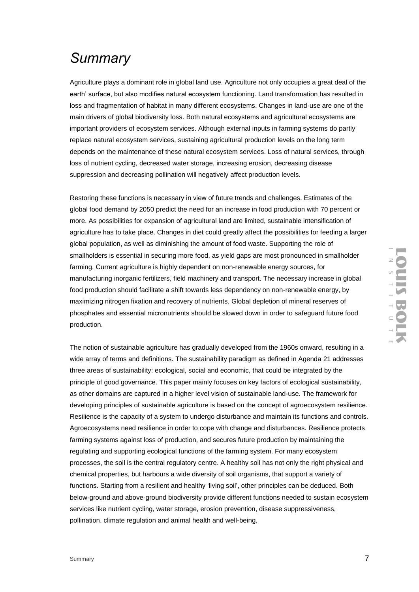## *Summary*

Agriculture plays a dominant role in global land use. Agriculture not only occupies a great deal of the earth' surface, but also modifies natural ecosystem functioning. Land transformation has resulted in loss and fragmentation of habitat in many different ecosystems. Changes in land-use are one of the main drivers of global biodiversity loss. Both natural ecosystems and agricultural ecosystems are important providers of ecosystem services. Although external inputs in farming systems do partly replace natural ecosystem services, sustaining agricultural production levels on the long term depends on the maintenance of these natural ecosystem services. Loss of natural services, through loss of nutrient cycling, decreased water storage, increasing erosion, decreasing disease suppression and decreasing pollination will negatively affect production levels.

Restoring these functions is necessary in view of future trends and challenges. Estimates of the global food demand by 2050 predict the need for an increase in food production with 70 percent or more. As possibilities for expansion of agricultural land are limited, sustainable intensification of agriculture has to take place. Changes in diet could greatly affect the possibilities for feeding a larger global population, as well as diminishing the amount of food waste. Supporting the role of smallholders is essential in securing more food, as yield gaps are most pronounced in smallholder farming. Current agriculture is highly dependent on non-renewable energy sources, for manufacturing inorganic fertilizers, field machinery and transport. The necessary increase in global food production should facilitate a shift towards less dependency on non-renewable energy, by maximizing nitrogen fixation and recovery of nutrients. Global depletion of mineral reserves of phosphates and essential micronutrients should be slowed down in order to safeguard future food production.

The notion of sustainable agriculture has gradually developed from the 1960s onward, resulting in a wide array of terms and definitions. The sustainability paradigm as defined in Agenda 21 addresses three areas of sustainability: ecological, social and economic, that could be integrated by the principle of good governance. This paper mainly focuses on key factors of ecological sustainability, as other domains are captured in a higher level vision of sustainable land-use. The framework for developing principles of sustainable agriculture is based on the concept of agroecosystem resilience. Resilience is the capacity of a system to undergo disturbance and maintain its functions and controls. Agroecosystems need resilience in order to cope with change and disturbances. Resilience protects farming systems against loss of production, and secures future production by maintaining the regulating and supporting ecological functions of the farming system. For many ecosystem processes, the soil is the central regulatory centre. A healthy soil has not only the right physical and chemical properties, but harbours a wide diversity of soil organisms, that support a variety of functions. Starting from a resilient and healthy 'living soil', other principles can be deduced. Both below-ground and above-ground biodiversity provide different functions needed to sustain ecosystem services like nutrient cycling, water storage, erosion prevention, disease suppressiveness, pollination, climate regulation and animal health and well-being.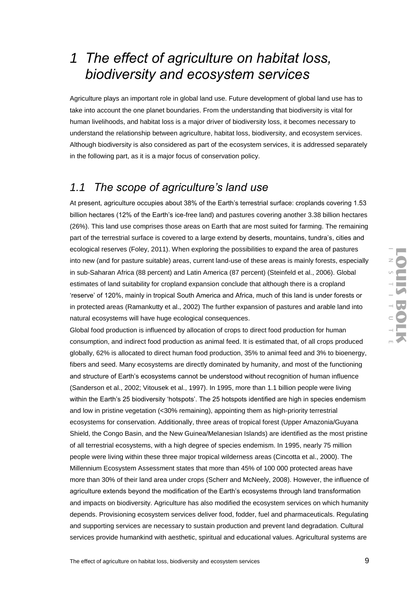# *1 The effect of agriculture on habitat loss, biodiversity and ecosystem services*

Agriculture plays an important role in global land use. Future development of global land use has to take into account the one planet boundaries. From the understanding that biodiversity is vital for human livelihoods, and habitat loss is a major driver of biodiversity loss, it becomes necessary to understand the relationship between agriculture, habitat loss, biodiversity, and ecosystem services. Although biodiversity is also considered as part of the ecosystem services, it is addressed separately in the following part, as it is a major focus of conservation policy.

## *1.1 The scope of agriculture's land use*

At present, agriculture occupies about 38% of the Earth's terrestrial surface: croplands covering 1.53 billion hectares (12% of the Earth's ice-free land) and pastures covering another 3.38 billion hectares (26%). This land use comprises those areas on Earth that are most suited for farming. The remaining part of the terrestrial surface is covered to a large extend by deserts, mountains, tundra's, cities and ecological reserves (Foley, 2011). When exploring the possibilities to expand the area of pastures into new (and for pasture suitable) areas, current land-use of these areas is mainly forests, especially in sub-Saharan Africa (88 percent) and Latin America (87 percent) (Steinfeld et al., 2006). Global estimates of land suitability for cropland expansion conclude that although there is a cropland 'reserve' of 120%, mainly in tropical South America and Africa, much of this land is under forests or in protected areas (Ramankutty et al., 2002) The further expansion of pastures and arable land into natural ecosystems will have huge ecological consequences.

Global food production is influenced by allocation of crops to direct food production for human consumption, and indirect food production as animal feed. It is estimated that, of all crops produced globally, 62% is allocated to direct human food production, 35% to animal feed and 3% to bioenergy, fibers and seed. Many ecosystems are directly dominated by humanity, and most of the functioning and structure of Earth's ecosystems cannot be understood without recognition of human influence (Sanderson et al., 2002; Vitousek et al., 1997). In 1995, more than 1.1 billion people were living within the Earth's 25 biodiversity 'hotspots'. The 25 hotspots identified are high in species endemism and low in pristine vegetation (<30% remaining), appointing them as high-priority terrestrial ecosystems for conservation. Additionally, three areas of tropical forest (Upper Amazonia/Guyana Shield, the Congo Basin, and the New Guinea/Melanesian Islands) are identified as the most pristine of all terrestrial ecosystems, with a high degree of species endemism. In 1995, nearly 75 million people were living within these three major tropical wilderness areas (Cincotta et al., 2000). The Millennium Ecosystem Assessment states that more than 45% of 100 000 protected areas have more than 30% of their land area under crops (Scherr and McNeely, 2008). However, the influence of agriculture extends beyond the modification of the Earth's ecosystems through land transformation and impacts on biodiversity. Agriculture has also modified the ecosystem services on which humanity depends. Provisioning ecosystem services deliver food, fodder, fuel and pharmaceuticals. Regulating and supporting services are necessary to sustain production and prevent land degradation. Cultural services provide humankind with aesthetic, spiritual and educational values. Agricultural systems are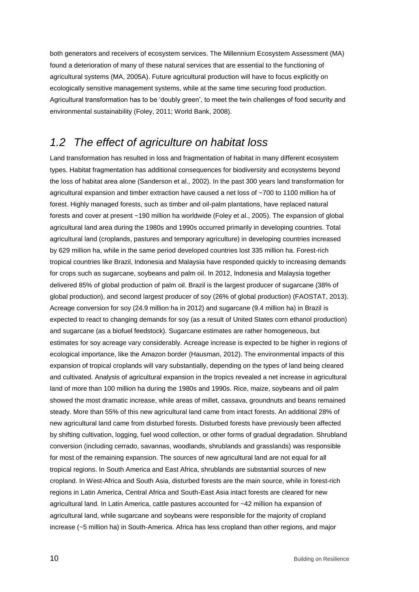both generators and receivers of ecosystem services. The Millennium Ecosystem Assessment (MA) found a deterioration of many of these natural services that are essential to the functioning of agricultural systems (MA, 2005A). Future agricultural production will have to focus explicitly on ecologically sensitive management systems, while at the same time securing food production. Agricultural transformation has to be 'doubly green', to meet the twin challenges of food security and environmental sustainability (Foley, 2011; World Bank, 2008).

### *1.2 The effect of agriculture on habitat loss*

Land transformation has resulted in loss and fragmentation of habitat in many different ecosystem types. Habitat fragmentation has additional consequences for biodiversity and ecosystems beyond the loss of habitat area alone (Sanderson et al., 2002). In the past 300 years land transformation for agricultural expansion and timber extraction have caused a net loss of ~700 to 1100 million ha of forest. Highly managed forests, such as timber and oil-palm plantations, have replaced natural forests and cover at present ~190 million ha worldwide (Foley et al., 2005). The expansion of global agricultural land area during the 1980s and 1990s occurred primarily in developing countries. Total agricultural land (croplands, pastures and temporary agriculture) in developing countries increased by 629 million ha, while in the same period developed countries lost 335 million ha. Forest-rich tropical countries like Brazil, Indonesia and Malaysia have responded quickly to increasing demands for crops such as sugarcane, soybeans and palm oil. In 2012, Indonesia and Malaysia together delivered 85% of global production of palm oil. Brazil is the largest producer of sugarcane (38% of global production), and second largest producer of soy (26% of global production) (FAOSTAT, 2013). Acreage conversion for soy (24.9 million ha in 2012) and sugarcane (9.4 million ha) in Brazil is expected to react to changing demands for soy (as a result of United States corn ethanol production) and sugarcane (as a biofuel feedstock). Sugarcane estimates are rather homogeneous, but estimates for soy acreage vary considerably. Acreage increase is expected to be higher in regions of ecological importance, like the Amazon border (Hausman, 2012). The environmental impacts of this expansion of tropical croplands will vary substantially, depending on the types of land being cleared and cultivated. Analysis of agricultural expansion in the tropics revealed a net increase in agricultural land of more than 100 million ha during the 1980s and 1990s. Rice, maize, soybeans and oil palm showed the most dramatic increase, while areas of millet, cassava, groundnuts and beans remained steady. More than 55% of this new agricultural land came from intact forests. An additional 28% of new agricultural land came from disturbed forests. Disturbed forests have previously been affected by shifting cultivation, logging, fuel wood collection, or other forms of gradual degradation. Shrubland conversion (including cerrado, savannas, woodlands, shrublands and grasslands) was responsible for most of the remaining expansion. The sources of new agricultural land are not equal for all tropical regions. In South America and East Africa, shrublands are substantial sources of new cropland. In West-Africa and South Asia, disturbed forests are the main source, while in forest-rich regions in Latin America, Central Africa and South-East Asia intact forests are cleared for new agricultural land. In Latin America, cattle pastures accounted for ~42 million ha expansion of agricultural land, while sugarcane and soybeans were responsible for the majority of cropland increase (~5 million ha) in South-America. Africa has less cropland than other regions, and major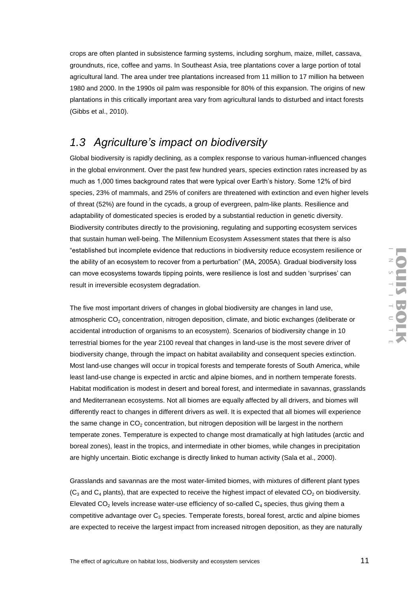crops are often planted in subsistence farming systems, including sorghum, maize, millet, cassava, groundnuts, rice, coffee and yams. In Southeast Asia, tree plantations cover a large portion of total agricultural land. The area under tree plantations increased from 11 million to 17 million ha between 1980 and 2000. In the 1990s oil palm was responsible for 80% of this expansion. The origins of new plantations in this critically important area vary from agricultural lands to disturbed and intact forests (Gibbs et al., 2010).

### *1.3 Agriculture's impact on biodiversity*

Global biodiversity is rapidly declining, as a complex response to various human-influenced changes in the global environment. Over the past few hundred years, species extinction rates increased by as much as 1,000 times background rates that were typical over Earth's history. Some 12% of bird species, 23% of mammals, and 25% of conifers are threatened with extinction and even higher levels of threat (52%) are found in the cycads, a group of evergreen, palm-like plants. Resilience and adaptability of domesticated species is eroded by a substantial reduction in genetic diversity. Biodiversity contributes directly to the provisioning, regulating and supporting ecosystem services that sustain human well-being. The Millennium Ecosystem Assessment states that there is also "established but incomplete evidence that reductions in biodiversity reduce ecosystem resilience or the ability of an ecosystem to recover from a perturbation" (MA, 2005A). Gradual biodiversity loss can move ecosystems towards tipping points, were resilience is lost and sudden 'surprises' can result in irreversible ecosystem degradation.

The five most important drivers of changes in global biodiversity are changes in land use, atmospheric CO<sub>2</sub> concentration, nitrogen deposition, climate, and biotic exchanges (deliberate or accidental introduction of organisms to an ecosystem). Scenarios of biodiversity change in 10 terrestrial biomes for the year 2100 reveal that changes in land-use is the most severe driver of biodiversity change, through the impact on habitat availability and consequent species extinction. Most land-use changes will occur in tropical forests and temperate forests of South America, while least land-use change is expected in arctic and alpine biomes, and in northern temperate forests. Habitat modification is modest in desert and boreal forest, and intermediate in savannas, grasslands and Mediterranean ecosystems. Not all biomes are equally affected by all drivers, and biomes will differently react to changes in different drivers as well. It is expected that all biomes will experience the same change in  $CO<sub>2</sub>$  concentration, but nitrogen deposition will be largest in the northern temperate zones. Temperature is expected to change most dramatically at high latitudes (arctic and boreal zones), least in the tropics, and intermediate in other biomes, while changes in precipitation are highly uncertain. Biotic exchange is directly linked to human activity (Sala et al., 2000).

Grasslands and savannas are the most water-limited biomes, with mixtures of different plant types  $(C_3$  and  $C_4$  plants), that are expected to receive the highest impact of elevated  $CO_2$  on biodiversity. Elevated  $CO<sub>2</sub>$  levels increase water-use efficiency of so-called  $C<sub>4</sub>$  species, thus giving them a competitive advantage over C<sub>3</sub> species. Temperate forests, boreal forest, arctic and alpine biomes are expected to receive the largest impact from increased nitrogen deposition, as they are naturally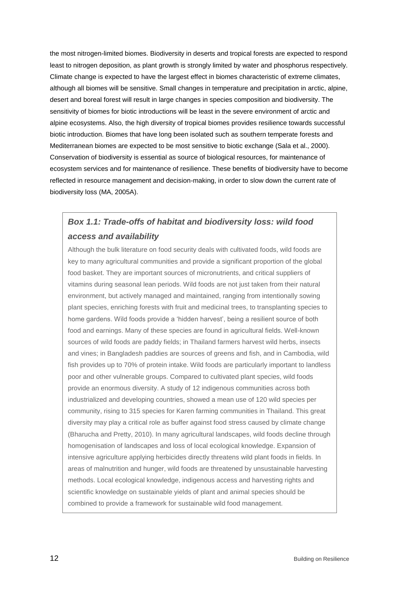the most nitrogen-limited biomes. Biodiversity in deserts and tropical forests are expected to respond least to nitrogen deposition, as plant growth is strongly limited by water and phosphorus respectively. Climate change is expected to have the largest effect in biomes characteristic of extreme climates, although all biomes will be sensitive. Small changes in temperature and precipitation in arctic, alpine, desert and boreal forest will result in large changes in species composition and biodiversity. The sensitivity of biomes for biotic introductions will be least in the severe environment of arctic and alpine ecosystems. Also, the high diversity of tropical biomes provides resilience towards successful biotic introduction. Biomes that have long been isolated such as southern temperate forests and Mediterranean biomes are expected to be most sensitive to biotic exchange (Sala et al., 2000). Conservation of biodiversity is essential as source of biological resources, for maintenance of ecosystem services and for maintenance of resilience. These benefits of biodiversity have to become reflected in resource management and decision-making, in order to slow down the current rate of biodiversity loss (MA, 2005A).

### *Box 1.1: Trade-offs of habitat and biodiversity loss: wild food access and availability*

Although the bulk literature on food security deals with cultivated foods, wild foods are key to many agricultural communities and provide a significant proportion of the global food basket. They are important sources of micronutrients, and critical suppliers of vitamins during seasonal lean periods. Wild foods are not just taken from their natural environment, but actively managed and maintained, ranging from intentionally sowing plant species, enriching forests with fruit and medicinal trees, to transplanting species to home gardens. Wild foods provide a 'hidden harvest', being a resilient source of both food and earnings. Many of these species are found in agricultural fields. Well-known sources of wild foods are paddy fields; in Thailand farmers harvest wild herbs, insects and vines; in Bangladesh paddies are sources of greens and fish, and in Cambodia, wild fish provides up to 70% of protein intake. Wild foods are particularly important to landless poor and other vulnerable groups. Compared to cultivated plant species, wild foods provide an enormous diversity. A study of 12 indigenous communities across both industrialized and developing countries, showed a mean use of 120 wild species per community, rising to 315 species for Karen farming communities in Thailand. This great diversity may play a critical role as buffer against food stress caused by climate change (Bharucha and Pretty, 2010). In many agricultural landscapes, wild foods decline through homogenisation of landscapes and loss of local ecological knowledge. Expansion of intensive agriculture applying herbicides directly threatens wild plant foods in fields. In areas of malnutrition and hunger, wild foods are threatened by unsustainable harvesting methods. Local ecological knowledge, indigenous access and harvesting rights and scientific knowledge on sustainable yields of plant and animal species should be combined to provide a framework for sustainable wild food management.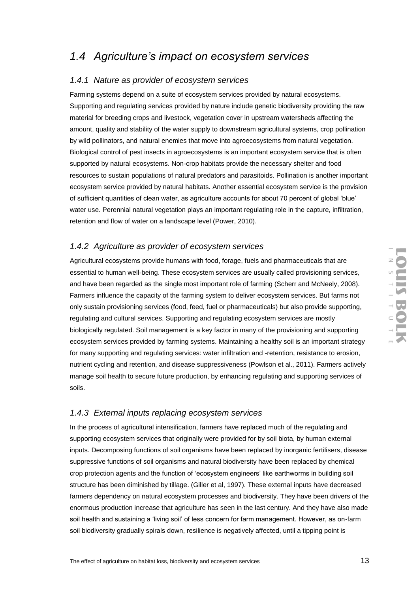## *1.4 Agriculture's impact on ecosystem services*

#### *1.4.1 Nature as provider of ecosystem services*

Farming systems depend on a suite of ecosystem services provided by natural ecosystems. Supporting and regulating services provided by nature include genetic biodiversity providing the raw material for breeding crops and livestock, vegetation cover in upstream watersheds affecting the amount, quality and stability of the water supply to downstream agricultural systems, crop pollination by wild pollinators, and natural enemies that move into agroecosystems from natural vegetation. Biological control of pest insects in agroecosystems is an important ecosystem service that is often supported by natural ecosystems. Non-crop habitats provide the necessary shelter and food resources to sustain populations of natural predators and parasitoids. Pollination is another important ecosystem service provided by natural habitats. Another essential ecosystem service is the provision of sufficient quantities of clean water, as agriculture accounts for about 70 percent of global 'blue' water use. Perennial natural vegetation plays an important regulating role in the capture, infiltration, retention and flow of water on a landscape level (Power, 2010).

#### *1.4.2 Agriculture as provider of ecosystem services*

Agricultural ecosystems provide humans with food, forage, fuels and pharmaceuticals that are essential to human well-being. These ecosystem services are usually called provisioning services, and have been regarded as the single most important role of farming (Scherr and McNeely, 2008). Farmers influence the capacity of the farming system to deliver ecosystem services. But farms not only sustain provisioning services (food, feed, fuel or pharmaceuticals) but also provide supporting, regulating and cultural services. Supporting and regulating ecosystem services are mostly biologically regulated. Soil management is a key factor in many of the provisioning and supporting ecosystem services provided by farming systems. Maintaining a healthy soil is an important strategy for many supporting and regulating services: water infiltration and -retention, resistance to erosion, nutrient cycling and retention, and disease suppressiveness (Powlson et al., 2011). Farmers actively manage soil health to secure future production, by enhancing regulating and supporting services of soils.

#### *1.4.3 External inputs replacing ecosystem services*

In the process of agricultural intensification, farmers have replaced much of the regulating and supporting ecosystem services that originally were provided for by soil biota, by human external inputs. Decomposing functions of soil organisms have been replaced by inorganic fertilisers, disease suppressive functions of soil organisms and natural biodiversity have been replaced by chemical crop protection agents and the function of 'ecosystem engineers' like earthworms in building soil structure has been diminished by tillage. (Giller et al, 1997). These external inputs have decreased farmers dependency on natural ecosystem processes and biodiversity. They have been drivers of the enormous production increase that agriculture has seen in the last century. And they have also made soil health and sustaining a 'living soil' of less concern for farm management. However, as on-farm soil biodiversity gradually spirals down, resilience is negatively affected, until a tipping point is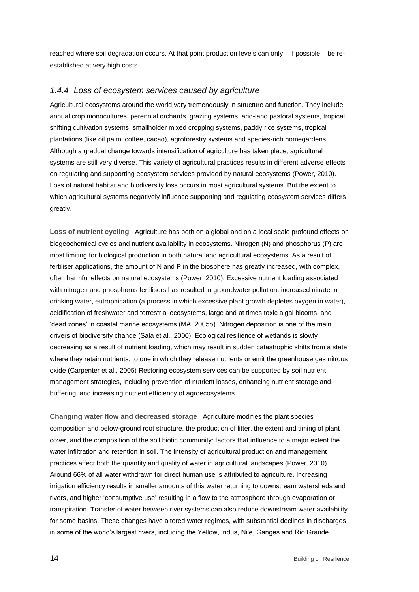reached where soil degradation occurs. At that point production levels can only – if possible – be reestablished at very high costs.

#### *1.4.4 Loss of ecosystem services caused by agriculture*

Agricultural ecosystems around the world vary tremendously in structure and function. They include annual crop monocultures, perennial orchards, grazing systems, arid-land pastoral systems, tropical shifting cultivation systems, smallholder mixed cropping systems, paddy rice systems, tropical plantations (like oil palm, coffee, cacao), agroforestry systems and species-rich homegardens. Although a gradual change towards intensification of agriculture has taken place, agricultural systems are still very diverse. This variety of agricultural practices results in different adverse effects on regulating and supporting ecosystem services provided by natural ecosystems (Power, 2010). Loss of natural habitat and biodiversity loss occurs in most agricultural systems. But the extent to which agricultural systems negatively influence supporting and regulating ecosystem services differs greatly.

**Loss of nutrient cycling** Agriculture has both on a global and on a local scale profound effects on biogeochemical cycles and nutrient availability in ecosystems. Nitrogen (N) and phosphorus (P) are most limiting for biological production in both natural and agricultural ecosystems. As a result of fertiliser applications, the amount of N and P in the biosphere has greatly increased, with complex, often harmful effects on natural ecosystems (Power, 2010). Excessive nutrient loading associated with nitrogen and phosphorus fertilisers has resulted in groundwater pollution, increased nitrate in drinking water, eutrophication (a process in which excessive plant growth depletes oxygen in water), acidification of freshwater and terrestrial ecosystems, large and at times toxic algal blooms, and 'dead zones' in coastal marine ecosystems (MA, 2005b). Nitrogen deposition is one of the main drivers of biodiversity change (Sala et al., 2000). Ecological resilience of wetlands is slowly decreasing as a result of nutrient loading, which may result in sudden catastrophic shifts from a state where they retain nutrients, to one in which they release nutrients or emit the greenhouse gas nitrous oxide (Carpenter et al., 2005) Restoring ecosystem services can be supported by soil nutrient management strategies, including prevention of nutrient losses, enhancing nutrient storage and buffering, and increasing nutrient efficiency of agroecosystems.

**Changing water flow and decreased storage** Agriculture modifies the plant species composition and below-ground root structure, the production of litter, the extent and timing of plant cover, and the composition of the soil biotic community: factors that influence to a major extent the water infiltration and retention in soil. The intensity of agricultural production and management practices affect both the quantity and quality of water in agricultural landscapes (Power, 2010). Around 66% of all water withdrawn for direct human use is attributed to agriculture. Increasing irrigation efficiency results in smaller amounts of this water returning to downstream watersheds and rivers, and higher 'consumptive use' resulting in a flow to the atmosphere through evaporation or transpiration. Transfer of water between river systems can also reduce downstream water availability for some basins. These changes have altered water regimes, with substantial declines in discharges in some of the world's largest rivers, including the Yellow, Indus, Nile, Ganges and Rio Grande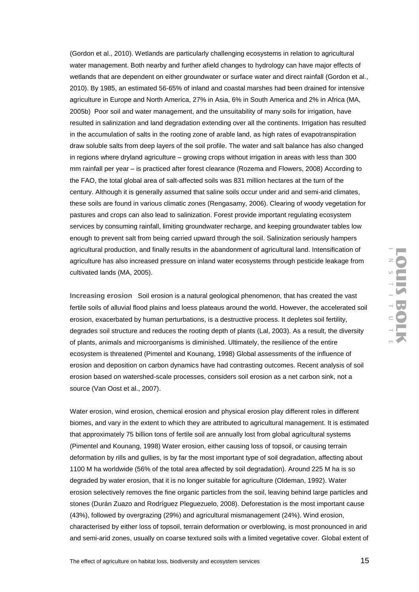(Gordon et al., 2010). Wetlands are particularly challenging ecosystems in relation to agricultural water management. Both nearby and further afield changes to hydrology can have major effects of wetlands that are dependent on either groundwater or surface water and direct rainfall (Gordon et al., 2010). By 1985, an estimated 56-65% of inland and coastal marshes had been drained for intensive agriculture in Europe and North America, 27% in Asia, 6% in South America and 2% in Africa (MA, 2005b) Poor soil and water management, and the unsuitability of many soils for irrigation, have resulted in salinization and land degradation extending over all the continents. Irrigation has resulted in the accumulation of salts in the rooting zone of arable land, as high rates of evapotranspiration draw soluble salts from deep layers of the soil profile. The water and salt balance has also changed in regions where dryland agriculture – growing crops without irrigation in areas with less than 300 mm rainfall per year – is practiced after forest clearance (Rozema and Flowers, 2008) According to the FAO, the total global area of salt-affected soils was 831 million hectares at the turn of the century. Although it is generally assumed that saline soils occur under arid and semi-arid climates, these soils are found in various climatic zones (Rengasamy, 2006). Clearing of woody vegetation for pastures and crops can also lead to salinization. Forest provide important regulating ecosystem services by consuming rainfall, limiting groundwater recharge, and keeping groundwater tables low enough to prevent salt from being carried upward through the soil. Salinization seriously hampers agricultural production, and finally results in the abandonment of agricultural land. Intensification of agriculture has also increased pressure on inland water ecosystems through pesticide leakage from cultivated lands (MA, 2005).

**Increasing erosion** Soil erosion is a natural geological phenomenon, that has created the vast fertile soils of alluvial flood plains and loess plateaus around the world. However, the accelerated soil erosion, exacerbated by human perturbations, is a destructive process. It depletes soil fertility, degrades soil structure and reduces the rooting depth of plants (Lal, 2003). As a result, the diversity of plants, animals and microorganisms is diminished. Ultimately, the resilience of the entire ecosystem is threatened (Pimentel and Kounang, 1998) Global assessments of the influence of erosion and deposition on carbon dynamics have had contrasting outcomes. Recent analysis of soil erosion based on watershed-scale processes, considers soil erosion as a net carbon sink, not a source (Van Oost et al., 2007).

Water erosion, wind erosion, chemical erosion and physical erosion play different roles in different biomes, and vary in the extent to which they are attributed to agricultural management. It is estimated that approximately 75 billion tons of fertile soil are annually lost from global agricultural systems (Pimentel and Kounang, 1998) Water erosion, either causing loss of topsoil, or causing terrain deformation by rills and gullies, is by far the most important type of soil degradation, affecting about 1100 M ha worldwide (56% of the total area affected by soil degradation). Around 225 M ha is so degraded by water erosion, that it is no longer suitable for agriculture (Oldeman, 1992). Water erosion selectively removes the fine organic particles from the soil, leaving behind large particles and stones (Durán Zuazo and Rodríguez Pleguezuelo, 2008). Deforestation is the most important cause (43%), followed by overgrazing (29%) and agricultural mismanagement (24%). Wind erosion, characterised by either loss of topsoil, terrain deformation or overblowing, is most pronounced in arid and semi-arid zones, usually on coarse textured soils with a limited vegetative cover. Global extent of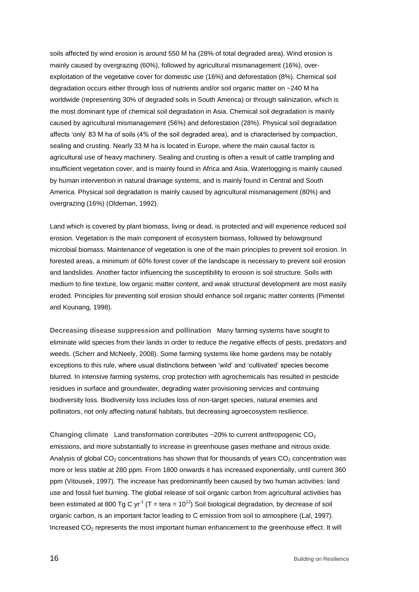soils affected by wind erosion is around 550 M ha (28% of total degraded area). Wind erosion is mainly caused by overgrazing (60%), followed by agricultural mismanagement (16%), overexploitation of the vegetative cover for domestic use (16%) and deforestation (8%). Chemical soil degradation occurs either through loss of nutrients and/or soil organic matter on ~240 M ha worldwide (representing 30% of degraded soils in South America) or through salinization, which is the most dominant type of chemical soil degradation in Asia. Chemical soil degradation is mainly caused by agricultural mismanagement (56%) and deforestation (28%). Physical soil degradation affects 'only' 83 M ha of soils (4% of the soil degraded area), and is characterised by compaction, sealing and crusting. Nearly 33 M ha is located in Europe, where the main causal factor is agricultural use of heavy machinery. Sealing and crusting is often a result of cattle trampling and insufficient vegetation cover, and is mainly found in Africa and Asia. Waterlogging is mainly caused by human intervention in natural drainage systems, and is mainly found in Central and South America. Physical soil degradation is mainly caused by agricultural mismanagement (80%) and overgrazing (16%) (Oldeman, 1992).

Land which is covered by plant biomass, living or dead, is protected and will experience reduced soil erosion. Vegetation is the main component of ecosystem biomass, followed by belowground microbial biomass. Maintenance of vegetation is one of the main principles to prevent soil erosion. In forested areas, a minimum of 60% forest cover of the landscape is necessary to prevent soil erosion and landslides. Another factor influencing the susceptibility to erosion is soil structure. Soils with medium to fine texture, low organic matter content, and weak structural development are most easily eroded. Principles for preventing soil erosion should enhance soil organic matter contents (Pimentel and Kounang, 1998).

**Decreasing disease suppression and pollination** Many farming systems have sought to eliminate wild species from their lands in order to reduce the negative effects of pests, predators and weeds. (Scherr and McNeely, 2008). Some farming systems like home gardens may be notably exceptions to this rule, where usual distinctions between 'wild' and 'cultivated' species become blurred. In intensive farming systems, crop protection with agrochemicals has resulted in pesticide residues in surface and groundwater, degrading water provisioning services and continuing biodiversity loss. Biodiversity loss includes loss of non-target species, natural enemies and pollinators, not only affecting natural habitats, but decreasing agroecosystem resilience.

Changing climate Land transformation contributes ~20% to current anthropogenic CO<sub>2</sub> emissions, and more substantially to increase in greenhouse gases methane and nitrous oxide. Analysis of global  $CO<sub>2</sub>$  concentrations has shown that for thousands of years  $CO<sub>2</sub>$  concentration was more or less stable at 280 ppm. From 1800 onwards it has increased exponentially, until current 360 ppm (Vitousek, 1997). The increase has predominantly been caused by two human activities: land use and fossil fuel burning. The global release of soil organic carbon from agricultural activities has been estimated at 800 Tg C yr<sup>-1</sup> (T = tera = 10<sup>12</sup>) Soil biological degradation, by decrease of soil organic carbon, is an important factor leading to C emission from soil to atmosphere (Lal, 1997). Increased CO<sub>2</sub> represents the most important human enhancement to the greenhouse effect. It will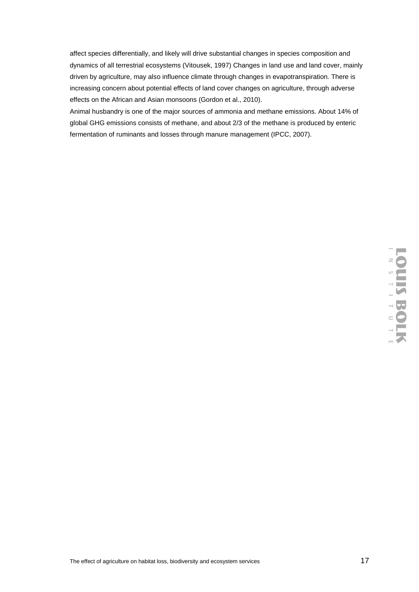affect species differentially, and likely will drive substantial changes in species composition and dynamics of all terrestrial ecosystems (Vitousek, 1997) Changes in land use and land cover, mainly driven by agriculture, may also influence climate through changes in evapotranspiration. There is increasing concern about potential effects of land cover changes on agriculture, through adverse effects on the African and Asian monsoons (Gordon et al., 2010).

Animal husbandry is one of the major sources of ammonia and methane emissions. About 14% of global GHG emissions consists of methane, and about 2/3 of the methane is produced by enteric fermentation of ruminants and losses through manure management (IPCC, 2007).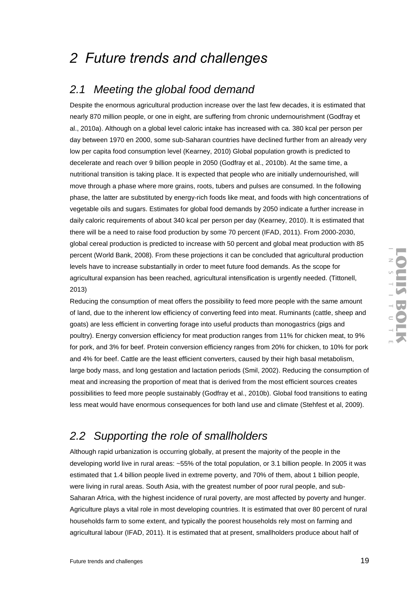# *2 Future trends and challenges*

### *2.1 Meeting the global food demand*

Despite the enormous agricultural production increase over the last few decades, it is estimated that nearly 870 million people, or one in eight, are suffering from chronic undernourishment (Godfray et al., 2010a). Although on a global level caloric intake has increased with ca. 380 kcal per person per day between 1970 en 2000, some sub-Saharan countries have declined further from an already very low per capita food consumption level (Kearney, 2010) Global population growth is predicted to decelerate and reach over 9 billion people in 2050 (Godfray et al., 2010b). At the same time, a nutritional transition is taking place. It is expected that people who are initially undernourished, will move through a phase where more grains, roots, tubers and pulses are consumed. In the following phase, the latter are substituted by energy-rich foods like meat, and foods with high concentrations of vegetable oils and sugars. Estimates for global food demands by 2050 indicate a further increase in daily caloric requirements of about 340 kcal per person per day (Kearney, 2010). It is estimated that there will be a need to raise food production by some 70 percent (IFAD, 2011). From 2000-2030, global cereal production is predicted to increase with 50 percent and global meat production with 85 percent (World Bank, 2008). From these projections it can be concluded that agricultural production levels have to increase substantially in order to meet future food demands. As the scope for agricultural expansion has been reached, agricultural intensification is urgently needed. (Tittonell, 2013)

Reducing the consumption of meat offers the possibility to feed more people with the same amount of land, due to the inherent low efficiency of converting feed into meat. Ruminants (cattle, sheep and goats) are less efficient in converting forage into useful products than monogastrics (pigs and poultry). Energy conversion efficiency for meat production ranges from 11% for chicken meat, to 9% for pork, and 3% for beef. Protein conversion efficiency ranges from 20% for chicken, to 10% for pork and 4% for beef. Cattle are the least efficient converters, caused by their high basal metabolism, large body mass, and long gestation and lactation periods (Smil, 2002). Reducing the consumption of meat and increasing the proportion of meat that is derived from the most efficient sources creates possibilities to feed more people sustainably (Godfray et al., 2010b). Global food transitions to eating less meat would have enormous consequences for both land use and climate (Stehfest et al, 2009).

## *2.2 Supporting the role of smallholders*

Although rapid urbanization is occurring globally, at present the majority of the people in the developing world live in rural areas: ~55% of the total population, or 3.1 billion people. In 2005 it was estimated that 1.4 billion people lived in extreme poverty, and 70% of them, about 1 billion people, were living in rural areas. South Asia, with the greatest number of poor rural people, and sub-Saharan Africa, with the highest incidence of rural poverty, are most affected by poverty and hunger. Agriculture plays a vital role in most developing countries. It is estimated that over 80 percent of rural households farm to some extent, and typically the poorest households rely most on farming and agricultural labour (IFAD, 2011). It is estimated that at present, smallholders produce about half of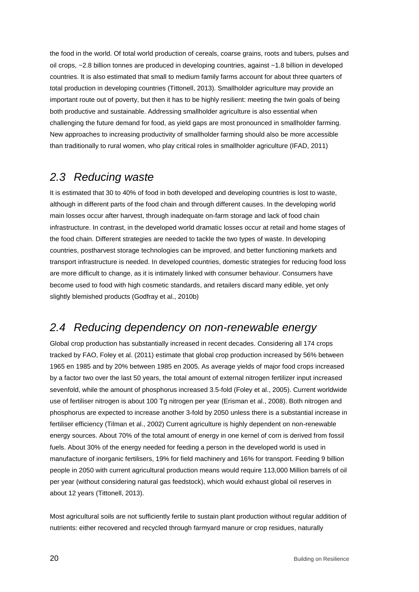the food in the world. Of total world production of cereals, coarse grains, roots and tubers, pulses and oil crops, ~2.8 billion tonnes are produced in developing countries, against ~1.8 billion in developed countries. It is also estimated that small to medium family farms account for about three quarters of total production in developing countries (Tittonell, 2013). Smallholder agriculture may provide an important route out of poverty, but then it has to be highly resilient: meeting the twin goals of being both productive and sustainable. Addressing smallholder agriculture is also essential when challenging the future demand for food, as yield gaps are most pronounced in smallholder farming. New approaches to increasing productivity of smallholder farming should also be more accessible than traditionally to rural women, who play critical roles in smallholder agriculture (IFAD, 2011)

### *2.3 Reducing waste*

It is estimated that 30 to 40% of food in both developed and developing countries is lost to waste, although in different parts of the food chain and through different causes. In the developing world main losses occur after harvest, through inadequate on-farm storage and lack of food chain infrastructure. In contrast, in the developed world dramatic losses occur at retail and home stages of the food chain. Different strategies are needed to tackle the two types of waste. In developing countries, postharvest storage technologies can be improved, and better functioning markets and transport infrastructure is needed. In developed countries, domestic strategies for reducing food loss are more difficult to change, as it is intimately linked with consumer behaviour. Consumers have become used to food with high cosmetic standards, and retailers discard many edible, yet only slightly blemished products (Godfray et al., 2010b)

### *2.4 Reducing dependency on non-renewable energy*

Global crop production has substantially increased in recent decades. Considering all 174 crops tracked by FAO, Foley et al. (2011) estimate that global crop production increased by 56% between 1965 en 1985 and by 20% between 1985 en 2005. As average yields of major food crops increased by a factor two over the last 50 years, the total amount of external nitrogen fertilizer input increased sevenfold, while the amount of phosphorus increased 3.5-fold (Foley et al., 2005). Current worldwide use of fertiliser nitrogen is about 100 Tg nitrogen per year (Erisman et al., 2008). Both nitrogen and phosphorus are expected to increase another 3-fold by 2050 unless there is a substantial increase in fertiliser efficiency (Tilman et al., 2002) Current agriculture is highly dependent on non-renewable energy sources. About 70% of the total amount of energy in one kernel of corn is derived from fossil fuels. About 30% of the energy needed for feeding a person in the developed world is used in manufacture of inorganic fertilisers, 19% for field machinery and 16% for transport. Feeding 9 billion people in 2050 with current agricultural production means would require 113,000 Million barrels of oil per year (without considering natural gas feedstock), which would exhaust global oil reserves in about 12 years (Tittonell, 2013).

Most agricultural soils are not sufficiently fertile to sustain plant production without regular addition of nutrients: either recovered and recycled through farmyard manure or crop residues, naturally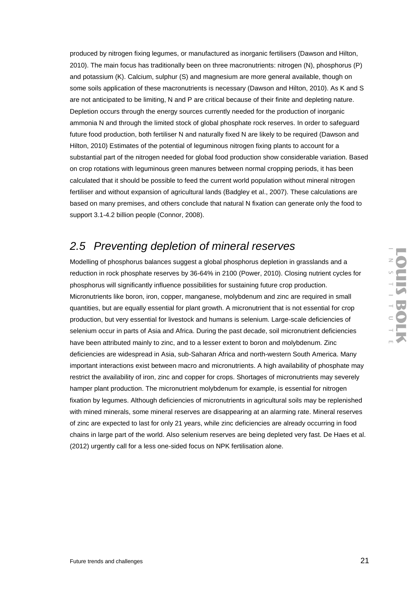produced by nitrogen fixing legumes, or manufactured as inorganic fertilisers (Dawson and Hilton, 2010). The main focus has traditionally been on three macronutrients: nitrogen (N), phosphorus (P) and potassium (K). Calcium, sulphur (S) and magnesium are more general available, though on some soils application of these macronutrients is necessary (Dawson and Hilton, 2010). As K and S are not anticipated to be limiting, N and P are critical because of their finite and depleting nature. Depletion occurs through the energy sources currently needed for the production of inorganic ammonia N and through the limited stock of global phosphate rock reserves. In order to safeguard future food production, both fertiliser N and naturally fixed N are likely to be required (Dawson and Hilton, 2010) Estimates of the potential of leguminous nitrogen fixing plants to account for a substantial part of the nitrogen needed for global food production show considerable variation. Based on crop rotations with leguminous green manures between normal cropping periods, it has been calculated that it should be possible to feed the current world population without mineral nitrogen fertiliser and without expansion of agricultural lands (Badgley et al., 2007). These calculations are based on many premises, and others conclude that natural N fixation can generate only the food to support 3.1-4.2 billion people (Connor, 2008).

### *2.5 Preventing depletion of mineral reserves*

Modelling of phosphorus balances suggest a global phosphorus depletion in grasslands and a reduction in rock phosphate reserves by 36-64% in 2100 (Power, 2010). Closing nutrient cycles for phosphorus will significantly influence possibilities for sustaining future crop production. Micronutrients like boron, iron, copper, manganese, molybdenum and zinc are required in small quantities, but are equally essential for plant growth. A micronutrient that is not essential for crop production, but very essential for livestock and humans is selenium. Large-scale deficiencies of selenium occur in parts of Asia and Africa. During the past decade, soil micronutrient deficiencies have been attributed mainly to zinc, and to a lesser extent to boron and molybdenum. Zinc deficiencies are widespread in Asia, sub-Saharan Africa and north-western South America. Many important interactions exist between macro and micronutrients. A high availability of phosphate may restrict the availability of iron, zinc and copper for crops. Shortages of micronutrients may severely hamper plant production. The micronutrient molybdenum for example, is essential for nitrogen fixation by legumes. Although deficiencies of micronutrients in agricultural soils may be replenished with mined minerals, some mineral reserves are disappearing at an alarming rate. Mineral reserves of zinc are expected to last for only 21 years, while zinc deficiencies are already occurring in food chains in large part of the world. Also selenium reserves are being depleted very fast. De Haes et al. (2012) urgently call for a less one-sided focus on NPK fertilisation alone.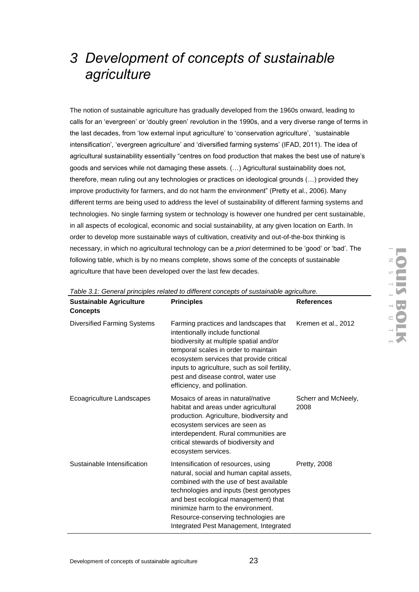# *3 Development of concepts of sustainable agriculture*

The notion of sustainable agriculture has gradually developed from the 1960s onward, leading to calls for an 'evergreen' or 'doubly green' revolution in the 1990s, and a very diverse range of terms in the last decades, from 'low external input agriculture' to 'conservation agriculture', 'sustainable intensification', 'evergreen agriculture' and 'diversified farming systems' (IFAD, 2011). The idea of agricultural sustainability essentially "centres on food production that makes the best use of nature's goods and services while not damaging these assets. (…) Agricultural sustainability does not, therefore, mean ruling out any technologies or practices on ideological grounds (…) provided they improve productivity for farmers, and do not harm the environment" (Pretty et al., 2006). Many different terms are being used to address the level of sustainability of different farming systems and technologies. No single farming system or technology is however one hundred per cent sustainable, in all aspects of ecological, economic and social sustainability, at any given location on Earth. In order to develop more sustainable ways of cultivation, creativity and out-of-the-box thinking is necessary, in which no agricultural technology can be *a priori* determined to be 'good' or 'bad'. The following table, which is by no means complete, shows some of the concepts of sustainable agriculture that have been developed over the last few decades.

| <b>Sustainable Agriculture</b><br><b>Concepts</b> | <b>Principles</b>                                                                                                                                                                                                                                                                                                                     | <b>References</b>           |
|---------------------------------------------------|---------------------------------------------------------------------------------------------------------------------------------------------------------------------------------------------------------------------------------------------------------------------------------------------------------------------------------------|-----------------------------|
| <b>Diversified Farming Systems</b>                | Farming practices and landscapes that<br>intentionally include functional<br>biodiversity at multiple spatial and/or<br>temporal scales in order to maintain<br>ecosystem services that provide critical<br>inputs to agriculture, such as soil fertility,<br>pest and disease control, water use<br>efficiency, and pollination.     | Kremen et al., 2012         |
| Ecoagriculture Landscapes                         | Mosaics of areas in natural/native<br>habitat and areas under agricultural<br>production. Agriculture, biodiversity and<br>ecosystem services are seen as<br>interdependent. Rural communities are<br>critical stewards of biodiversity and<br>ecosystem services.                                                                    | Scherr and McNeely,<br>2008 |
| Sustainable Intensification                       | Intensification of resources, using<br>natural, social and human capital assets,<br>combined with the use of best available<br>technologies and inputs (best genotypes<br>and best ecological management) that<br>minimize harm to the environment.<br>Resource-conserving technologies are<br>Integrated Pest Management, Integrated | <b>Pretty, 2008</b>         |

*Table 3.1: General principles related to different concepts of sustainable agriculture.*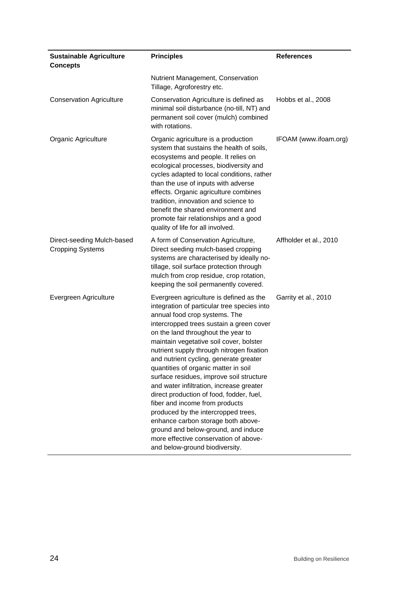| <b>Sustainable Agriculture</b><br><b>Concepts</b>     | <b>Principles</b>                                                                                                                                                                                                                                                                                                                                                                                                                                                                                                                                                                                                                                                                                                                                        | <b>References</b>      |
|-------------------------------------------------------|----------------------------------------------------------------------------------------------------------------------------------------------------------------------------------------------------------------------------------------------------------------------------------------------------------------------------------------------------------------------------------------------------------------------------------------------------------------------------------------------------------------------------------------------------------------------------------------------------------------------------------------------------------------------------------------------------------------------------------------------------------|------------------------|
|                                                       | Nutrient Management, Conservation<br>Tillage, Agroforestry etc.                                                                                                                                                                                                                                                                                                                                                                                                                                                                                                                                                                                                                                                                                          |                        |
| <b>Conservation Agriculture</b>                       | Conservation Agriculture is defined as<br>minimal soil disturbance (no-till, NT) and<br>permanent soil cover (mulch) combined<br>with rotations.                                                                                                                                                                                                                                                                                                                                                                                                                                                                                                                                                                                                         | Hobbs et al., 2008     |
| Organic Agriculture                                   | Organic agriculture is a production<br>system that sustains the health of soils,<br>ecosystems and people. It relies on<br>ecological processes, biodiversity and<br>cycles adapted to local conditions, rather<br>than the use of inputs with adverse<br>effects. Organic agriculture combines<br>tradition, innovation and science to<br>benefit the shared environment and<br>promote fair relationships and a good<br>quality of life for all involved.                                                                                                                                                                                                                                                                                              | IFOAM (www.ifoam.org)  |
| Direct-seeding Mulch-based<br><b>Cropping Systems</b> | A form of Conservation Agriculture,<br>Direct seeding mulch-based cropping<br>systems are characterised by ideally no-<br>tillage, soil surface protection through<br>mulch from crop residue, crop rotation,<br>keeping the soil permanently covered.                                                                                                                                                                                                                                                                                                                                                                                                                                                                                                   | Affholder et al., 2010 |
| Evergreen Agriculture                                 | Evergreen agriculture is defined as the<br>integration of particular tree species into<br>annual food crop systems. The<br>intercropped trees sustain a green cover<br>on the land throughout the year to<br>maintain vegetative soil cover, bolster<br>nutrient supply through nitrogen fixation<br>and nutrient cycling, generate greater<br>quantities of organic matter in soil<br>surface residues, improve soil structure<br>and water infiltration, increase greater<br>direct production of food, fodder, fuel,<br>fiber and income from products<br>produced by the intercropped trees,<br>enhance carbon storage both above-<br>ground and below-ground, and induce<br>more effective conservation of above-<br>and below-ground biodiversity. | Garrity et al., 2010   |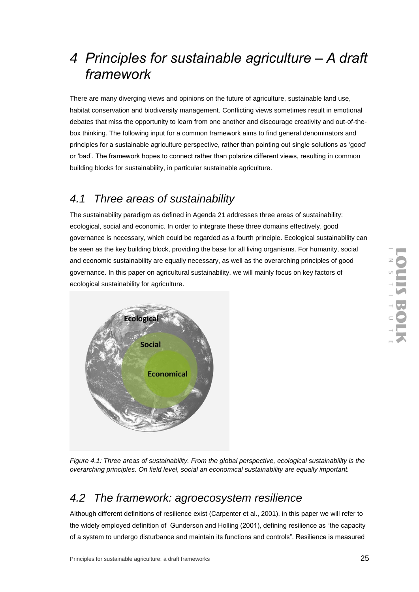# *4 Principles for sustainable agriculture – A draft framework*

There are many diverging views and opinions on the future of agriculture, sustainable land use, habitat conservation and biodiversity management. Conflicting views sometimes result in emotional debates that miss the opportunity to learn from one another and discourage creativity and out-of-thebox thinking. The following input for a common framework aims to find general denominators and principles for a sustainable agriculture perspective, rather than pointing out single solutions as 'good' or 'bad'. The framework hopes to connect rather than polarize different views, resulting in common building blocks for sustainability, in particular sustainable agriculture.

## *4.1 Three areas of sustainability*

The sustainability paradigm as defined in Agenda 21 addresses three areas of sustainability: ecological, social and economic. In order to integrate these three domains effectively, good governance is necessary, which could be regarded as a fourth principle. Ecological sustainability can be seen as the key building block, providing the base for all living organisms. For humanity, social and economic sustainability are equally necessary, as well as the overarching principles of good governance. In this paper on agricultural sustainability, we will mainly focus on key factors of ecological sustainability for agriculture.



*Figure 4.1: Three areas of sustainability. From the global perspective, ecological sustainability is the overarching principles. On field level, social an economical sustainability are equally important.*

## *4.2 The framework: agroecosystem resilience*

Although different definitions of resilience exist (Carpenter et al., 2001), in this paper we will refer to the widely employed definition of Gunderson and Holling (2001), defining resilience as "the capacity of a system to undergo disturbance and maintain its functions and controls". Resilience is measured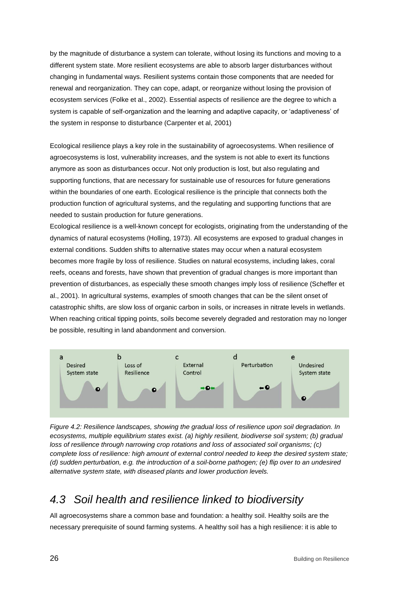by the magnitude of disturbance a system can tolerate, without losing its functions and moving to a different system state. More resilient ecosystems are able to absorb larger disturbances without changing in fundamental ways. Resilient systems contain those components that are needed for renewal and reorganization. They can cope, adapt, or reorganize without losing the provision of ecosystem services (Folke et al., 2002). Essential aspects of resilience are the degree to which a system is capable of self-organization and the learning and adaptive capacity, or 'adaptiveness' of the system in response to disturbance (Carpenter et al, 2001)

Ecological resilience plays a key role in the sustainability of agroecosystems. When resilience of agroecosystems is lost, vulnerability increases, and the system is not able to exert its functions anymore as soon as disturbances occur. Not only production is lost, but also regulating and supporting functions, that are necessary for sustainable use of resources for future generations within the boundaries of one earth. Ecological resilience is the principle that connects both the production function of agricultural systems, and the regulating and supporting functions that are needed to sustain production for future generations.

Ecological resilience is a well-known concept for ecologists, originating from the understanding of the dynamics of natural ecosystems (Holling, 1973). All ecosystems are exposed to gradual changes in external conditions. Sudden shifts to alternative states may occur when a natural ecosystem becomes more fragile by loss of resilience. Studies on natural ecosystems, including lakes, coral reefs, oceans and forests, have shown that prevention of gradual changes is more important than prevention of disturbances, as especially these smooth changes imply loss of resilience (Scheffer et al., 2001). In agricultural systems, examples of smooth changes that can be the silent onset of catastrophic shifts, are slow loss of organic carbon in soils, or increases in nitrate levels in wetlands. When reaching critical tipping points, soils become severely degraded and restoration may no longer be possible, resulting in land abandonment and conversion.



*Figure 4.2: Resilience landscapes, showing the gradual loss of resilience upon soil degradation. In ecosystems, multiple equilibrium states exist. (a) highly resilient, biodiverse soil system; (b) gradual loss of resilience through narrowing crop rotations and loss of associated soil organisms; (c) complete loss of resilience: high amount of external control needed to keep the desired system state; (d) sudden perturbation, e.g. the introduction of a soil-borne pathogen; (e) flip over to an undesired alternative system state, with diseased plants and lower production levels.*

## *4.3 Soil health and resilience linked to biodiversity*

All agroecosystems share a common base and foundation: a healthy soil. Healthy soils are the necessary prerequisite of sound farming systems. A healthy soil has a high resilience: it is able to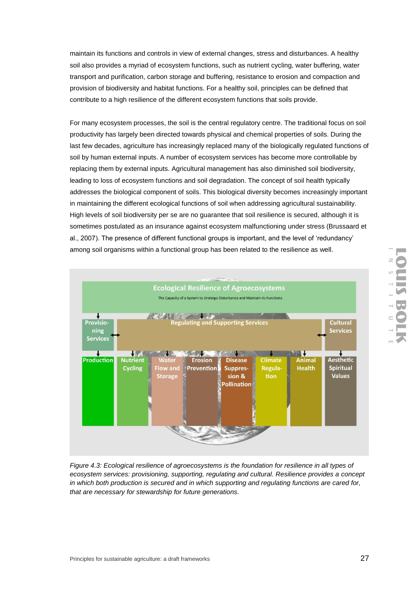maintain its functions and controls in view of external changes, stress and disturbances. A healthy soil also provides a myriad of ecosystem functions, such as nutrient cycling, water buffering, water transport and purification, carbon storage and buffering, resistance to erosion and compaction and provision of biodiversity and habitat functions. For a healthy soil, principles can be defined that contribute to a high resilience of the different ecosystem functions that soils provide.

For many ecosystem processes, the soil is the central regulatory centre. The traditional focus on soil productivity has largely been directed towards physical and chemical properties of soils. During the last few decades, agriculture has increasingly replaced many of the biologically regulated functions of soil by human external inputs. A number of ecosystem services has become more controllable by replacing them by external inputs. Agricultural management has also diminished soil biodiversity, leading to loss of ecosystem functions and soil degradation. The concept of soil health typically addresses the biological component of soils. This biological diversity becomes increasingly important in maintaining the different ecological functions of soil when addressing agricultural sustainability. High levels of soil biodiversity per se are no guarantee that soil resilience is secured, although it is sometimes postulated as an insurance against ecosystem malfunctioning under stress (Brussaard et al., 2007). The presence of different functional groups is important, and the level of 'redundancy' among soil organisms within a functional group has been related to the resilience as well.



*Figure 4.3: Ecological resilience of agroecosystems is the foundation for resilience in all types of ecosystem services: provisioning, supporting, regulating and cultural. Resilience provides a concept in which both production is secured and in which supporting and regulating functions are cared for, that are necessary for stewardship for future generations.*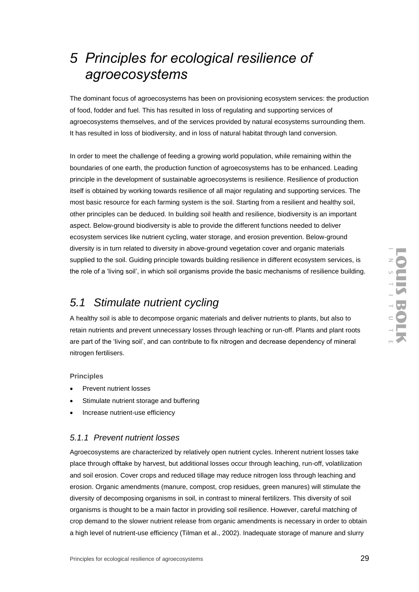# *5 Principles for ecological resilience of agroecosystems*

The dominant focus of agroecosystems has been on provisioning ecosystem services: the production of food, fodder and fuel. This has resulted in loss of regulating and supporting services of agroecosystems themselves, and of the services provided by natural ecosystems surrounding them. It has resulted in loss of biodiversity, and in loss of natural habitat through land conversion.

In order to meet the challenge of feeding a growing world population, while remaining within the boundaries of one earth, the production function of agroecosystems has to be enhanced. Leading principle in the development of sustainable agroecosystems is resilience. Resilience of production itself is obtained by working towards resilience of all major regulating and supporting services. The most basic resource for each farming system is the soil. Starting from a resilient and healthy soil, other principles can be deduced. In building soil health and resilience, biodiversity is an important aspect. Below-ground biodiversity is able to provide the different functions needed to deliver ecosystem services like nutrient cycling, water storage, and erosion prevention. Below-ground diversity is in turn related to diversity in above-ground vegetation cover and organic materials supplied to the soil. Guiding principle towards building resilience in different ecosystem services, is the role of a 'living soil', in which soil organisms provide the basic mechanisms of resilience building.

## *5.1 Stimulate nutrient cycling*

A healthy soil is able to decompose organic materials and deliver nutrients to plants, but also to retain nutrients and prevent unnecessary losses through leaching or run-off. Plants and plant roots are part of the 'living soil', and can contribute to fix nitrogen and decrease dependency of mineral nitrogen fertilisers.

#### **Principles**

- Prevent nutrient losses
- Stimulate nutrient storage and buffering
- Increase nutrient-use efficiency

#### *5.1.1 Prevent nutrient losses*

Agroecosystems are characterized by relatively open nutrient cycles. Inherent nutrient losses take place through offtake by harvest, but additional losses occur through leaching, run-off, volatilization and soil erosion. Cover crops and reduced tillage may reduce nitrogen loss through leaching and erosion. Organic amendments (manure, compost, crop residues, green manures) will stimulate the diversity of decomposing organisms in soil, in contrast to mineral fertilizers. This diversity of soil organisms is thought to be a main factor in providing soil resilience. However, careful matching of crop demand to the slower nutrient release from organic amendments is necessary in order to obtain a high level of nutrient-use efficiency (Tilman et al., 2002). Inadequate storage of manure and slurry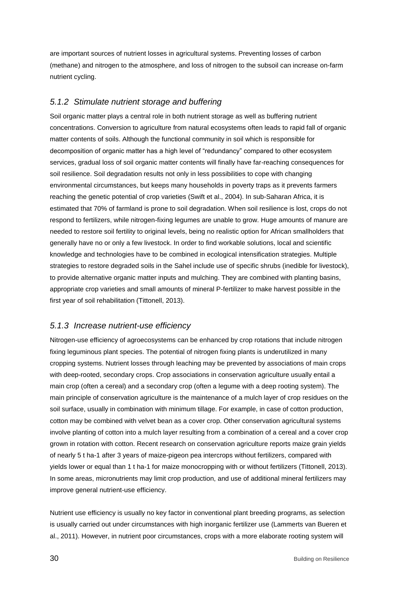are important sources of nutrient losses in agricultural systems. Preventing losses of carbon (methane) and nitrogen to the atmosphere, and loss of nitrogen to the subsoil can increase on-farm nutrient cycling.

#### *5.1.2 Stimulate nutrient storage and buffering*

Soil organic matter plays a central role in both nutrient storage as well as buffering nutrient concentrations. Conversion to agriculture from natural ecosystems often leads to rapid fall of organic matter contents of soils. Although the functional community in soil which is responsible for decomposition of organic matter has a high level of "redundancy" compared to other ecosystem services, gradual loss of soil organic matter contents will finally have far-reaching consequences for soil resilience. Soil degradation results not only in less possibilities to cope with changing environmental circumstances, but keeps many households in poverty traps as it prevents farmers reaching the genetic potential of crop varieties (Swift et al., 2004). In sub-Saharan Africa, it is estimated that 70% of farmland is prone to soil degradation. When soil resilience is lost, crops do not respond to fertilizers, while nitrogen-fixing legumes are unable to grow. Huge amounts of manure are needed to restore soil fertility to original levels, being no realistic option for African smallholders that generally have no or only a few livestock. In order to find workable solutions, local and scientific knowledge and technologies have to be combined in ecological intensification strategies. Multiple strategies to restore degraded soils in the Sahel include use of specific shrubs (inedible for livestock), to provide alternative organic matter inputs and mulching. They are combined with planting basins, appropriate crop varieties and small amounts of mineral P-fertilizer to make harvest possible in the first year of soil rehabilitation (Tittonell, 2013).

#### *5.1.3 Increase nutrient-use efficiency*

Nitrogen-use efficiency of agroecosystems can be enhanced by crop rotations that include nitrogen fixing leguminous plant species. The potential of nitrogen fixing plants is underutilized in many cropping systems. Nutrient losses through leaching may be prevented by associations of main crops with deep-rooted, secondary crops. Crop associations in conservation agriculture usually entail a main crop (often a cereal) and a secondary crop (often a legume with a deep rooting system). The main principle of conservation agriculture is the maintenance of a mulch layer of crop residues on the soil surface, usually in combination with minimum tillage. For example, in case of cotton production, cotton may be combined with velvet bean as a cover crop. Other conservation agricultural systems involve planting of cotton into a mulch layer resulting from a combination of a cereal and a cover crop grown in rotation with cotton. Recent research on conservation agriculture reports maize grain yields of nearly 5 t ha-1 after 3 years of maize-pigeon pea intercrops without fertilizers, compared with yields lower or equal than 1 t ha-1 for maize monocropping with or without fertilizers (Tittonell, 2013). In some areas, micronutrients may limit crop production, and use of additional mineral fertilizers may improve general nutrient-use efficiency.

Nutrient use efficiency is usually no key factor in conventional plant breeding programs, as selection is usually carried out under circumstances with high inorganic fertilizer use (Lammerts van Bueren et al., 2011). However, in nutrient poor circumstances, crops with a more elaborate rooting system will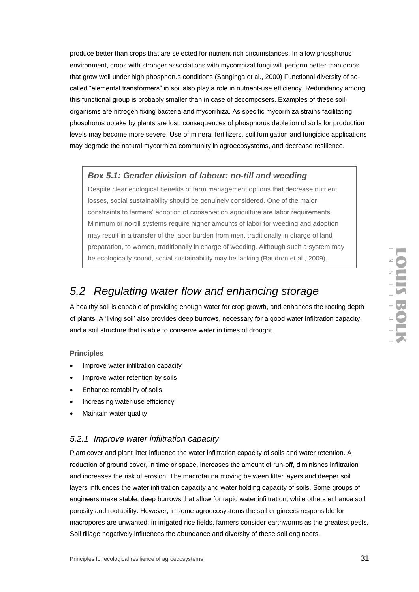produce better than crops that are selected for nutrient rich circumstances. In a low phosphorus environment, crops with stronger associations with mycorrhizal fungi will perform better than crops that grow well under high phosphorus conditions (Sanginga et al., 2000) Functional diversity of socalled "elemental transformers" in soil also play a role in nutrient-use efficiency. Redundancy among this functional group is probably smaller than in case of decomposers. Examples of these soilorganisms are nitrogen fixing bacteria and mycorrhiza. As specific mycorrhiza strains facilitating phosphorus uptake by plants are lost, consequences of phosphorus depletion of soils for production levels may become more severe. Use of mineral fertilizers, soil fumigation and fungicide applications may degrade the natural mycorrhiza community in agroecosystems, and decrease resilience.

#### *Box 5.1: Gender division of labour: no-till and weeding*

Despite clear ecological benefits of farm management options that decrease nutrient losses, social sustainability should be genuinely considered. One of the major constraints to farmers' adoption of conservation agriculture are labor requirements. Minimum or no-till systems require higher amounts of labor for weeding and adoption may result in a transfer of the labor burden from men, traditionally in charge of land preparation, to women, traditionally in charge of weeding. Although such a system may be ecologically sound, social sustainability may be lacking (Baudron et al., 2009).

## *5.2 Regulating water flow and enhancing storage*

A healthy soil is capable of providing enough water for crop growth, and enhances the rooting depth of plants. A 'living soil' also provides deep burrows, necessary for a good water infiltration capacity, and a soil structure that is able to conserve water in times of drought.

#### **Principles**

- Improve water infiltration capacity
- Improve water retention by soils
- Enhance rootability of soils
- Increasing water-use efficiency
- Maintain water quality

#### *5.2.1 Improve water infiltration capacity*

Plant cover and plant litter influence the water infiltration capacity of soils and water retention. A reduction of ground cover, in time or space, increases the amount of run-off, diminishes infiltration and increases the risk of erosion. The macrofauna moving between litter layers and deeper soil layers influences the water infiltration capacity and water holding capacity of soils. Some groups of engineers make stable, deep burrows that allow for rapid water infiltration, while others enhance soil porosity and rootability. However, in some agroecosystems the soil engineers responsible for macropores are unwanted: in irrigated rice fields, farmers consider earthworms as the greatest pests. Soil tillage negatively influences the abundance and diversity of these soil engineers.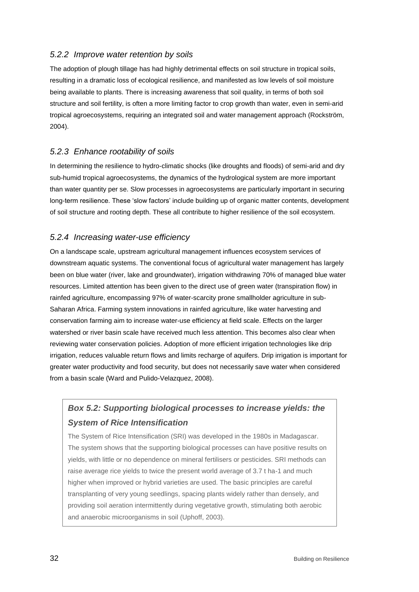#### *5.2.2 Improve water retention by soils*

The adoption of plough tillage has had highly detrimental effects on soil structure in tropical soils, resulting in a dramatic loss of ecological resilience, and manifested as low levels of soil moisture being available to plants. There is increasing awareness that soil quality, in terms of both soil structure and soil fertility, is often a more limiting factor to crop growth than water, even in semi-arid tropical agroecosystems, requiring an integrated soil and water management approach (Rockström, 2004).

#### *5.2.3 Enhance rootability of soils*

In determining the resilience to hydro-climatic shocks (like droughts and floods) of semi-arid and dry sub-humid tropical agroecosystems, the dynamics of the hydrological system are more important than water quantity per se. Slow processes in agroecosystems are particularly important in securing long-term resilience. These 'slow factors' include building up of organic matter contents, development of soil structure and rooting depth. These all contribute to higher resilience of the soil ecosystem.

#### *5.2.4 Increasing water-use efficiency*

On a landscape scale, upstream agricultural management influences ecosystem services of downstream aquatic systems. The conventional focus of agricultural water management has largely been on blue water (river, lake and groundwater), irrigation withdrawing 70% of managed blue water resources. Limited attention has been given to the direct use of green water (transpiration flow) in rainfed agriculture, encompassing 97% of water-scarcity prone smallholder agriculture in sub-Saharan Africa. Farming system innovations in rainfed agriculture, like water harvesting and conservation farming aim to increase water-use efficiency at field scale. Effects on the larger watershed or river basin scale have received much less attention. This becomes also clear when reviewing water conservation policies. Adoption of more efficient irrigation technologies like drip irrigation, reduces valuable return flows and limits recharge of aquifers. Drip irrigation is important for greater water productivity and food security, but does not necessarily save water when considered from a basin scale (Ward and Pulido-Velazquez, 2008).

### *Box 5.2: Supporting biological processes to increase yields: the System of Rice Intensification*

The System of Rice Intensification (SRI) was developed in the 1980s in Madagascar. The system shows that the supporting biological processes can have positive results on yields, with little or no dependence on mineral fertilisers or pesticides. SRI methods can raise average rice yields to twice the present world average of 3.7 t ha-1 and much higher when improved or hybrid varieties are used. The basic principles are careful transplanting of very young seedlings, spacing plants widely rather than densely, and providing soil aeration intermittently during vegetative growth, stimulating both aerobic and anaerobic microorganisms in soil (Uphoff, 2003).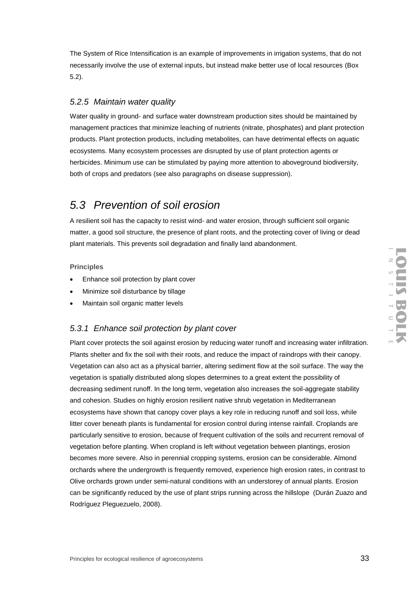The System of Rice Intensification is an example of improvements in irrigation systems, that do not necessarily involve the use of external inputs, but instead make better use of local resources (Box 5.2).

#### *5.2.5 Maintain water quality*

Water quality in ground- and surface water downstream production sites should be maintained by management practices that minimize leaching of nutrients (nitrate, phosphates) and plant protection products. Plant protection products, including metabolites, can have detrimental effects on aquatic ecosystems. Many ecosystem processes are disrupted by use of plant protection agents or herbicides. Minimum use can be stimulated by paying more attention to aboveground biodiversity, both of crops and predators (see also paragraphs on disease suppression).

### *5.3 Prevention of soil erosion*

A resilient soil has the capacity to resist wind- and water erosion, through sufficient soil organic matter, a good soil structure, the presence of plant roots, and the protecting cover of living or dead plant materials. This prevents soil degradation and finally land abandonment.

#### **Principles**

- Enhance soil protection by plant cover
- Minimize soil disturbance by tillage
- Maintain soil organic matter levels

#### *5.3.1 Enhance soil protection by plant cover*

Plant cover protects the soil against erosion by reducing water runoff and increasing water infiltration. Plants shelter and fix the soil with their roots, and reduce the impact of raindrops with their canopy. Vegetation can also act as a physical barrier, altering sediment flow at the soil surface. The way the vegetation is spatially distributed along slopes determines to a great extent the possibility of decreasing sediment runoff. In the long term, vegetation also increases the soil-aggregate stability and cohesion. Studies on highly erosion resilient native shrub vegetation in Mediterranean ecosystems have shown that canopy cover plays a key role in reducing runoff and soil loss, while litter cover beneath plants is fundamental for erosion control during intense rainfall. Croplands are particularly sensitive to erosion, because of frequent cultivation of the soils and recurrent removal of vegetation before planting. When cropland is left without vegetation between plantings, erosion becomes more severe. Also in perennial cropping systems, erosion can be considerable. Almond orchards where the undergrowth is frequently removed, experience high erosion rates, in contrast to Olive orchards grown under semi-natural conditions with an understorey of annual plants. Erosion can be significantly reduced by the use of plant strips running across the hillslope (Durán Zuazo and Rodríguez Pleguezuelo, 2008).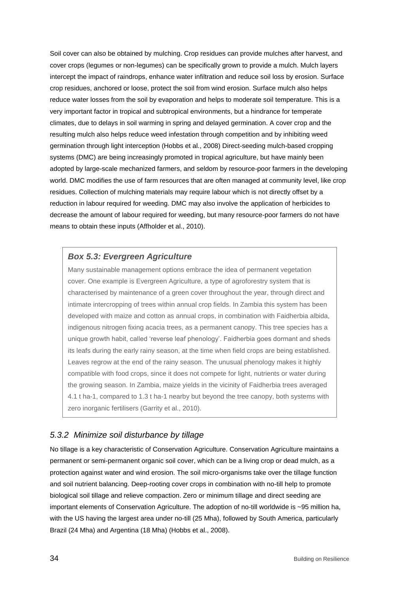Soil cover can also be obtained by mulching. Crop residues can provide mulches after harvest, and cover crops (legumes or non-legumes) can be specifically grown to provide a mulch. Mulch layers intercept the impact of raindrops, enhance water infiltration and reduce soil loss by erosion. Surface crop residues, anchored or loose, protect the soil from wind erosion. Surface mulch also helps reduce water losses from the soil by evaporation and helps to moderate soil temperature. This is a very important factor in tropical and subtropical environments, but a hindrance for temperate climates, due to delays in soil warming in spring and delayed germination. A cover crop and the resulting mulch also helps reduce weed infestation through competition and by inhibiting weed germination through light interception (Hobbs et al., 2008) Direct-seeding mulch-based cropping systems (DMC) are being increasingly promoted in tropical agriculture, but have mainly been adopted by large-scale mechanized farmers, and seldom by resource-poor farmers in the developing world. DMC modifies the use of farm resources that are often managed at community level, like crop residues. Collection of mulching materials may require labour which is not directly offset by a reduction in labour required for weeding. DMC may also involve the application of herbicides to decrease the amount of labour required for weeding, but many resource-poor farmers do not have means to obtain these inputs (Affholder et al., 2010).

#### *Box 5.3: Evergreen Agriculture*

Many sustainable management options embrace the idea of permanent vegetation cover. One example is Evergreen Agriculture, a type of agroforestry system that is characterised by maintenance of a green cover throughout the year, through direct and intimate intercropping of trees within annual crop fields. In Zambia this system has been developed with maize and cotton as annual crops, in combination with Faidherbia albida, indigenous nitrogen fixing acacia trees, as a permanent canopy. This tree species has a unique growth habit, called 'reverse leaf phenology'. Faidherbia goes dormant and sheds its leafs during the early rainy season, at the time when field crops are being established. Leaves regrow at the end of the rainy season. The unusual phenology makes it highly compatible with food crops, since it does not compete for light, nutrients or water during the growing season. In Zambia, maize yields in the vicinity of Faidherbia trees averaged 4.1 t ha-1, compared to 1.3 t ha-1 nearby but beyond the tree canopy, both systems with zero inorganic fertilisers (Garrity et al., 2010).

#### *5.3.2 Minimize soil disturbance by tillage*

No tillage is a key characteristic of Conservation Agriculture. Conservation Agriculture maintains a permanent or semi-permanent organic soil cover, which can be a living crop or dead mulch, as a protection against water and wind erosion. The soil micro-organisms take over the tillage function and soil nutrient balancing. Deep-rooting cover crops in combination with no-till help to promote biological soil tillage and relieve compaction. Zero or minimum tillage and direct seeding are important elements of Conservation Agriculture. The adoption of no-till worldwide is ~95 million ha, with the US having the largest area under no-till (25 Mha), followed by South America, particularly Brazil (24 Mha) and Argentina (18 Mha) (Hobbs et al., 2008).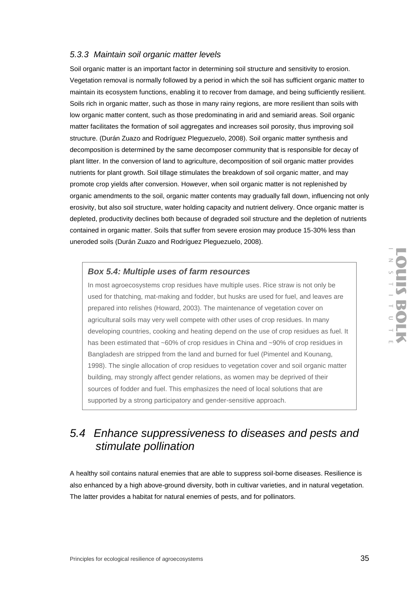#### *5.3.3 Maintain soil organic matter levels*

Soil organic matter is an important factor in determining soil structure and sensitivity to erosion. Vegetation removal is normally followed by a period in which the soil has sufficient organic matter to maintain its ecosystem functions, enabling it to recover from damage, and being sufficiently resilient. Soils rich in organic matter, such as those in many rainy regions, are more resilient than soils with low organic matter content, such as those predominating in arid and semiarid areas. Soil organic matter facilitates the formation of soil aggregates and increases soil porosity, thus improving soil structure. (Durán Zuazo and Rodríguez Pleguezuelo, 2008). Soil organic matter synthesis and decomposition is determined by the same decomposer community that is responsible for decay of plant litter. In the conversion of land to agriculture, decomposition of soil organic matter provides nutrients for plant growth. Soil tillage stimulates the breakdown of soil organic matter, and may promote crop yields after conversion. However, when soil organic matter is not replenished by organic amendments to the soil, organic matter contents may gradually fall down, influencing not only erosivity, but also soil structure, water holding capacity and nutrient delivery. Once organic matter is depleted, productivity declines both because of degraded soil structure and the depletion of nutrients contained in organic matter. Soils that suffer from severe erosion may produce 15-30% less than uneroded soils (Durán Zuazo and Rodríguez Pleguezuelo, 2008).

#### *Box 5.4: Multiple uses of farm resources*

In most agroecosystems crop residues have multiple uses. Rice straw is not only be used for thatching, mat-making and fodder, but husks are used for fuel, and leaves are prepared into relishes (Howard, 2003). The maintenance of vegetation cover on agricultural soils may very well compete with other uses of crop residues. In many developing countries, cooking and heating depend on the use of crop residues as fuel. It has been estimated that ~60% of crop residues in China and ~90% of crop residues in Bangladesh are stripped from the land and burned for fuel (Pimentel and Kounang, 1998). The single allocation of crop residues to vegetation cover and soil organic matter building, may strongly affect gender relations, as women may be deprived of their sources of fodder and fuel. This emphasizes the need of local solutions that are supported by a strong participatory and gender-sensitive approach.

## *5.4 Enhance suppressiveness to diseases and pests and stimulate pollination*

A healthy soil contains natural enemies that are able to suppress soil-borne diseases. Resilience is also enhanced by a high above-ground diversity, both in cultivar varieties, and in natural vegetation. The latter provides a habitat for natural enemies of pests, and for pollinators.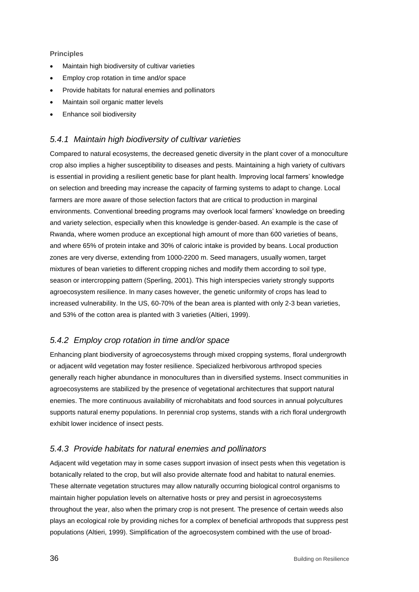#### **Principles**

- Maintain high biodiversity of cultivar varieties
- Employ crop rotation in time and/or space
- Provide habitats for natural enemies and pollinators
- Maintain soil organic matter levels
- Enhance soil biodiversity

#### *5.4.1 Maintain high biodiversity of cultivar varieties*

Compared to natural ecosystems, the decreased genetic diversity in the plant cover of a monoculture crop also implies a higher susceptibility to diseases and pests. Maintaining a high variety of cultivars is essential in providing a resilient genetic base for plant health. Improving local farmers' knowledge on selection and breeding may increase the capacity of farming systems to adapt to change. Local farmers are more aware of those selection factors that are critical to production in marginal environments. Conventional breeding programs may overlook local farmers' knowledge on breeding and variety selection, especially when this knowledge is gender-based. An example is the case of Rwanda, where women produce an exceptional high amount of more than 600 varieties of beans, and where 65% of protein intake and 30% of caloric intake is provided by beans. Local production zones are very diverse, extending from 1000-2200 m. Seed managers, usually women, target mixtures of bean varieties to different cropping niches and modify them according to soil type, season or intercropping pattern (Sperling, 2001). This high interspecies variety strongly supports agroecosystem resilience. In many cases however, the genetic uniformity of crops has lead to increased vulnerability. In the US, 60-70% of the bean area is planted with only 2-3 bean varieties, and 53% of the cotton area is planted with 3 varieties (Altieri, 1999).

#### *5.4.2 Employ crop rotation in time and/or space*

Enhancing plant biodiversity of agroecosystems through mixed cropping systems, floral undergrowth or adjacent wild vegetation may foster resilience. Specialized herbivorous arthropod species generally reach higher abundance in monocultures than in diversified systems. Insect communities in agroecosystems are stabilized by the presence of vegetational architectures that support natural enemies. The more continuous availability of microhabitats and food sources in annual polycultures supports natural enemy populations. In perennial crop systems, stands with a rich floral undergrowth exhibit lower incidence of insect pests.

#### *5.4.3 Provide habitats for natural enemies and pollinators*

Adjacent wild vegetation may in some cases support invasion of insect pests when this vegetation is botanically related to the crop, but will also provide alternate food and habitat to natural enemies. These alternate vegetation structures may allow naturally occurring biological control organisms to maintain higher population levels on alternative hosts or prey and persist in agroecosystems throughout the year, also when the primary crop is not present. The presence of certain weeds also plays an ecological role by providing niches for a complex of beneficial arthropods that suppress pest populations (Altieri, 1999). Simplification of the agroecosystem combined with the use of broad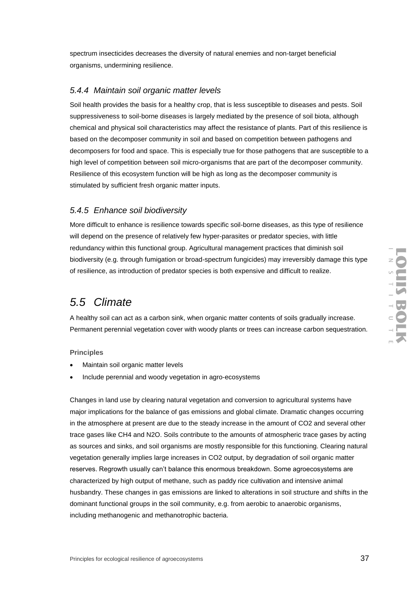spectrum insecticides decreases the diversity of natural enemies and non-target beneficial organisms, undermining resilience.

#### *5.4.4 Maintain soil organic matter levels*

Soil health provides the basis for a healthy crop, that is less susceptible to diseases and pests. Soil suppressiveness to soil-borne diseases is largely mediated by the presence of soil biota, although chemical and physical soil characteristics may affect the resistance of plants. Part of this resilience is based on the decomposer community in soil and based on competition between pathogens and decomposers for food and space. This is especially true for those pathogens that are susceptible to a high level of competition between soil micro-organisms that are part of the decomposer community. Resilience of this ecosystem function will be high as long as the decomposer community is stimulated by sufficient fresh organic matter inputs.

#### *5.4.5 Enhance soil biodiversity*

More difficult to enhance is resilience towards specific soil-borne diseases, as this type of resilience will depend on the presence of relatively few hyper-parasites or predator species, with little redundancy within this functional group. Agricultural management practices that diminish soil biodiversity (e.g. through fumigation or broad-spectrum fungicides) may irreversibly damage this type of resilience, as introduction of predator species is both expensive and difficult to realize.

## *5.5 Climate*

A healthy soil can act as a carbon sink, when organic matter contents of soils gradually increase. Permanent perennial vegetation cover with woody plants or trees can increase carbon sequestration.

**Principles**

- Maintain soil organic matter levels
- Include perennial and woody vegetation in agro-ecosystems

Changes in land use by clearing natural vegetation and conversion to agricultural systems have major implications for the balance of gas emissions and global climate. Dramatic changes occurring in the atmosphere at present are due to the steady increase in the amount of CO2 and several other trace gases like CH4 and N2O. Soils contribute to the amounts of atmospheric trace gases by acting as sources and sinks, and soil organisms are mostly responsible for this functioning. Clearing natural vegetation generally implies large increases in CO2 output, by degradation of soil organic matter reserves. Regrowth usually can't balance this enormous breakdown. Some agroecosystems are characterized by high output of methane, such as paddy rice cultivation and intensive animal husbandry. These changes in gas emissions are linked to alterations in soil structure and shifts in the dominant functional groups in the soil community, e.g. from aerobic to anaerobic organisms, including methanogenic and methanotrophic bacteria.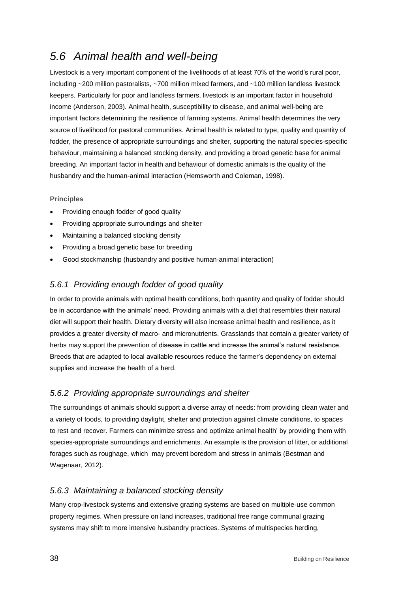## *5.6 Animal health and well-being*

Livestock is a very important component of the livelihoods of at least 70% of the world's rural poor, including ~200 million pastoralists, ~700 million mixed farmers, and ~100 million landless livestock keepers. Particularly for poor and landless farmers, livestock is an important factor in household income (Anderson, 2003). Animal health, susceptibility to disease, and animal well-being are important factors determining the resilience of farming systems. Animal health determines the very source of livelihood for pastoral communities. Animal health is related to type, quality and quantity of fodder, the presence of appropriate surroundings and shelter, supporting the natural species-specific behaviour, maintaining a balanced stocking density, and providing a broad genetic base for animal breeding. An important factor in health and behaviour of domestic animals is the quality of the husbandry and the human-animal interaction (Hemsworth and Coleman, 1998).

#### **Principles**

- Providing enough fodder of good quality
- Providing appropriate surroundings and shelter
- Maintaining a balanced stocking density
- Providing a broad genetic base for breeding
- Good stockmanship (husbandry and positive human-animal interaction)

#### *5.6.1 Providing enough fodder of good quality*

In order to provide animals with optimal health conditions, both quantity and quality of fodder should be in accordance with the animals' need. Providing animals with a diet that resembles their natural diet will support their health. Dietary diversity will also increase animal health and resilience, as it provides a greater diversity of macro- and micronutrients. Grasslands that contain a greater variety of herbs may support the prevention of disease in cattle and increase the animal's natural resistance. Breeds that are adapted to local available resources reduce the farmer's dependency on external supplies and increase the health of a herd.

#### *5.6.2 Providing appropriate surroundings and shelter*

The surroundings of animals should support a diverse array of needs: from providing clean water and a variety of foods, to providing daylight, shelter and protection against climate conditions, to spaces to rest and recover. Farmers can minimize stress and optimize animal health' by providing them with species-appropriate surroundings and enrichments. An example is the provision of litter, or additional forages such as roughage, which may prevent boredom and stress in animals (Bestman and Wagenaar, 2012).

#### *5.6.3 Maintaining a balanced stocking density*

Many crop-livestock systems and extensive grazing systems are based on multiple-use common property regimes. When pressure on land increases, traditional free range communal grazing systems may shift to more intensive husbandry practices. Systems of multispecies herding,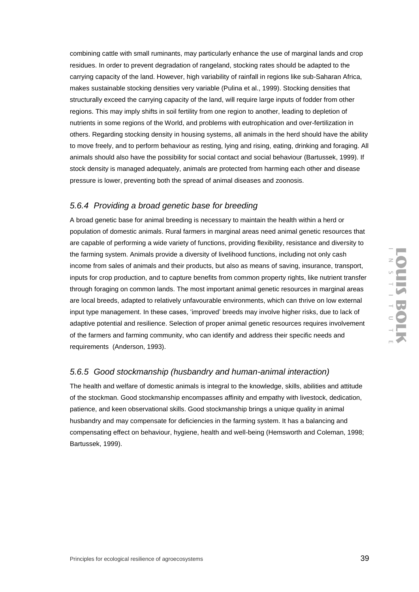combining cattle with small ruminants, may particularly enhance the use of marginal lands and crop residues. In order to prevent degradation of rangeland, stocking rates should be adapted to the carrying capacity of the land. However, high variability of rainfall in regions like sub-Saharan Africa, makes sustainable stocking densities very variable (Pulina et al., 1999). Stocking densities that structurally exceed the carrying capacity of the land, will require large inputs of fodder from other regions. This may imply shifts in soil fertility from one region to another, leading to depletion of nutrients in some regions of the World, and problems with eutrophication and over-fertilization in others. Regarding stocking density in housing systems, all animals in the herd should have the ability to move freely, and to perform behaviour as resting, lying and rising, eating, drinking and foraging. All animals should also have the possibility for social contact and social behaviour (Bartussek, 1999). If stock density is managed adequately, animals are protected from harming each other and disease pressure is lower, preventing both the spread of animal diseases and zoonosis.

#### *5.6.4 Providing a broad genetic base for breeding*

A broad genetic base for animal breeding is necessary to maintain the health within a herd or population of domestic animals. Rural farmers in marginal areas need animal genetic resources that are capable of performing a wide variety of functions, providing flexibility, resistance and diversity to the farming system. Animals provide a diversity of livelihood functions, including not only cash income from sales of animals and their products, but also as means of saving, insurance, transport, inputs for crop production, and to capture benefits from common property rights, like nutrient transfer through foraging on common lands. The most important animal genetic resources in marginal areas are local breeds, adapted to relatively unfavourable environments, which can thrive on low external input type management. In these cases, 'improved' breeds may involve higher risks, due to lack of adaptive potential and resilience. Selection of proper animal genetic resources requires involvement of the farmers and farming community, who can identify and address their specific needs and requirements (Anderson, 1993).

#### *5.6.5 Good stockmanship (husbandry and human-animal interaction)*

The health and welfare of domestic animals is integral to the knowledge, skills, abilities and attitude of the stockman. Good stockmanship encompasses affinity and empathy with livestock, dedication, patience, and keen observational skills. Good stockmanship brings a unique quality in animal husbandry and may compensate for deficiencies in the farming system. It has a balancing and compensating effect on behaviour, hygiene, health and well-being (Hemsworth and Coleman, 1998; Bartussek, 1999).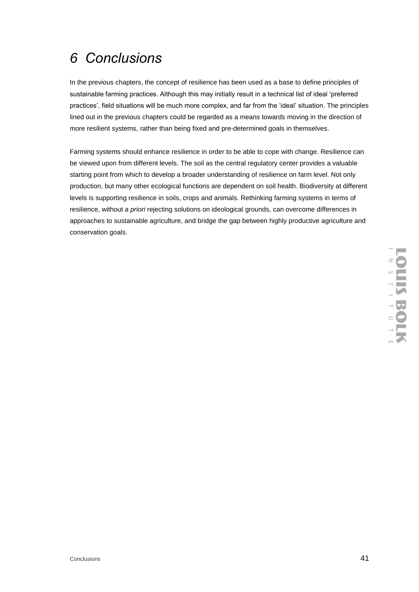#### Conclusions 41

# *6 Conclusions*

In the previous chapters, the concept of resilience has been used as a base to define principles of sustainable farming practices. Although this may initially result in a technical list of ideal 'preferred practices', field situations will be much more complex, and far from the 'ideal' situation. The principles lined out in the previous chapters could be regarded as a means towards moving in the direction of more resilient systems, rather than being fixed and pre-determined goals in themselves.

Farming systems should enhance resilience in order to be able to cope with change. Resilience can be viewed upon from different levels. The soil as the central regulatory center provides a valuable starting point from which to develop a broader understanding of resilience on farm level. Not only production, but many other ecological functions are dependent on soil health. Biodiversity at different levels is supporting resilience in soils, crops and animals. Rethinking farming systems in terms of resilience, without *a priori* rejecting solutions on ideological grounds, can overcome differences in approaches to sustainable agriculture, and bridge the gap between highly productive agriculture and conservation goals.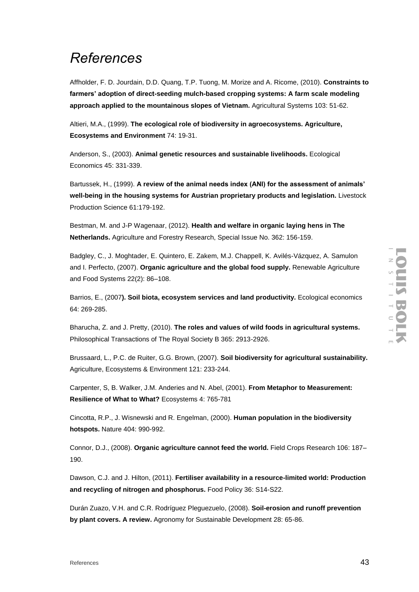# *References*

Affholder, F. D. Jourdain, D.D. Quang, T.P. Tuong, M. Morize and A. Ricome, (2010). **Constraints to farmers' adoption of direct-seeding mulch-based cropping systems: A farm scale modeling approach applied to the mountainous slopes of Vietnam.** Agricultural Systems 103: 51-62.

Altieri, M.A., (1999). **The ecological role of biodiversity in agroecosystems. Agriculture, Ecosystems and Environment** 74: 19-31.

Anderson, S., (2003). **Animal genetic resources and sustainable livelihoods.** Ecological Economics 45: 331-339.

Bartussek, H., (1999). **A review of the animal needs index (ANI) for the assessment of animals' well-being in the housing systems for Austrian proprietary products and legislation.** Livestock Production Science 61:179-192.

Bestman, M. and J-P Wagenaar, (2012). **Health and welfare in organic laying hens in The Netherlands.** Agriculture and Forestry Research, Special Issue No. 362: 156-159.

Badgley, C., J. Moghtader, E. Quintero, E. Zakem, M.J. Chappell, K. Avilés-Vázquez, A. Samulon and I. Perfecto, (2007). **Organic agriculture and the global food supply.** Renewable Agriculture and Food Systems 22(2): 86–108.

Barrios, E., (2007**). Soil biota, ecosystem services and land productivity.** Ecological economics 64: 269-285.

Bharucha, Z. and J. Pretty, (2010). **The roles and values of wild foods in agricultural systems.** Philosophical Transactions of The Royal Society B 365: 2913-2926.

Brussaard, L., P.C. de Ruiter, G.G. Brown, (2007). **Soil biodiversity for agricultural sustainability.** Agriculture, Ecosystems & Environment 121: 233-244.

Carpenter, S, B. Walker, J.M. Anderies and N. Abel, (2001). **From Metaphor to Measurement: Resilience of What to What?** Ecosystems 4: 765-781

Cincotta, R.P., J. Wisnewski and R. Engelman, (2000). **Human population in the biodiversity hotspots.** Nature 404: 990-992.

Connor, D.J., (2008). **Organic agriculture cannot feed the world.** Field Crops Research 106: 187– 190.

Dawson, C.J. and J. Hilton, (2011). **Fertiliser availability in a resource-limited world: Production and recycling of nitrogen and phosphorus.** Food Policy 36: S14-S22.

Durán Zuazo, V.H. and C.R. Rodríguez Pleguezuelo, (2008). **Soil-erosion and runoff prevention by plant covers. A review.** Agronomy for Sustainable Development 28: 65-86.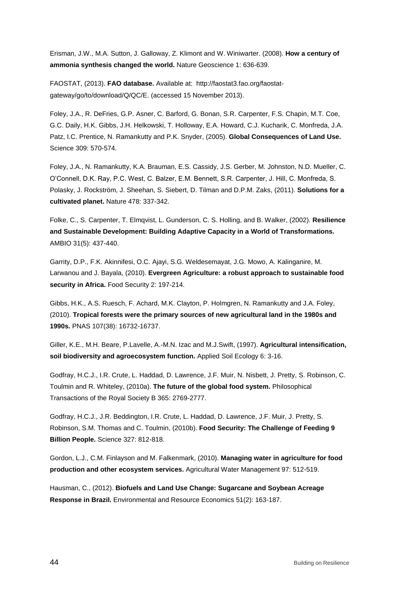Erisman, J.W., M.A. Sutton, J. Galloway, Z. Klimont and W. Winiwarter. (2008). **How a century of ammonia synthesis changed the world.** Nature Geoscience 1: 636-639.

FAOSTAT, (2013). **FAO database.** Available at: http://faostat3.fao.org/faostatgateway/go/to/download/Q/QC/E. (accessed 15 November 2013).

Foley, J.A., R. DeFries, G.P. Asner, C. Barford, G. Bonan, S.R. Carpenter, F.S. Chapin, M.T. Coe, G.C. Daily, H.K. Gibbs, J.H. Helkowski, T. Holloway, E.A. Howard, C.J. Kucharik, C. Monfreda, J.A. Patz, I.C. Prentice, N. Ramankutty and P.K. Snyder, (2005). **Global Consequences of Land Use.** Science 309: 570-574.

Foley, J.A., N. Ramankutty, K.A. Brauman, E.S. Cassidy, J.S. Gerber, M. Johnston, N.D. Mueller, C. O'Connell, D.K. Ray, P.C. West, C. Balzer, E.M. Bennett, S.R. Carpenter, J. Hill, C. Monfreda, S. Polasky, J. Rockström, J. Sheehan, S. Siebert, D. Tilman and D.P.M. Zaks, (2011). **Solutions for a cultivated planet.** Nature 478: 337-342.

Folke, C., S. Carpenter, T. Elmqvist, L. Gunderson, C. S. Holling, and B. Walker, (2002). **Resilience and Sustainable Development: Building Adaptive Capacity in a World of Transformations.** AMBIO 31(5): 437-440.

Garrity, D.P., F.K. Akinnifesi, O.C. Ajayi, S.G. Weldesemayat, J.G. Mowo, A. Kalinganire, M. Larwanou and J. Bayala, (2010). **Evergreen Agriculture: a robust approach to sustainable food security in Africa.** Food Security 2: 197-214.

Gibbs, H.K., A.S. Ruesch, F. Achard, M.K. Clayton, P. Holmgren, N. Ramankutty and J.A. Foley, (2010). **Tropical forests were the primary sources of new agricultural land in the 1980s and 1990s.** PNAS 107(38): 16732-16737.

Giller, K.E., M.H. Beare, P.Lavelle, A.-M.N. Izac and M.J.Swift, (1997). **Agricultural intensification, soil biodiversity and agroecosystem function.** Applied Soil Ecology 6: 3-16.

Godfray, H.C.J., I.R. Crute, L. Haddad, D. Lawrence, J.F. Muir, N. Nisbett, J. Pretty, S. Robinson, C. Toulmin and R. Whiteley, (2010a). **The future of the global food system.** Philosophical Transactions of the Royal Society B 365: 2769-2777.

Godfray, H.C.J., J.R. Beddington, I.R. Crute, L. Haddad, D. Lawrence, J.F. Muir, J. Pretty, S. Robinson, S.M. Thomas and C. Toulmin, (2010b). **Food Security: The Challenge of Feeding 9 Billion People.** Science 327: 812-818.

Gordon, L.J., C.M. Finlayson and M. Falkenmark, (2010). **Managing water in agriculture for food production and other ecosystem services.** Agricultural Water Management 97: 512-519.

Hausman, C., (2012). **Biofuels and Land Use Change: Sugarcane and Soybean Acreage Response in Brazil.** Environmental and Resource Economics 51(2): 163-187.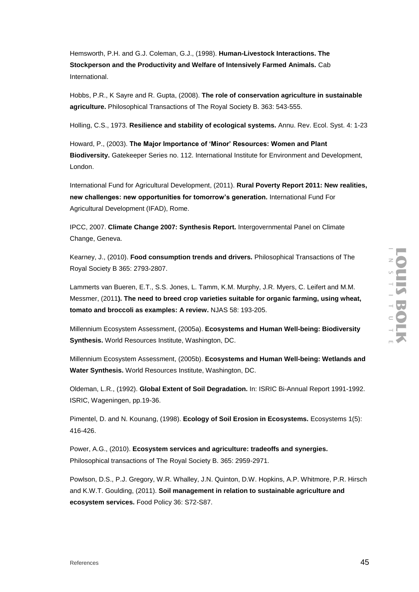Hemsworth, P.H. and G.J. Coleman, G.J., (1998). **Human-Livestock Interactions. The Stockperson and the Productivity and Welfare of Intensively Farmed Animals.** Cab International.

Hobbs, P.R., K Sayre and R. Gupta, (2008). **The role of conservation agriculture in sustainable agriculture.** Philosophical Transactions of The Royal Society B. 363: 543-555.

Holling, C.S., 1973. **Resilience and stability of ecological systems.** Annu. Rev. Ecol. Syst. 4: 1-23

Howard, P., (2003). **The Major Importance of 'Minor' Resources: Women and Plant Biodiversity.** Gatekeeper Series no. 112. International Institute for Environment and Development, London.

International Fund for Agricultural Development, (2011). **Rural Poverty Report 2011: New realities, new challenges: new opportunities for tomorrow's generation.** International Fund For Agricultural Development (IFAD), Rome.

IPCC, 2007. **Climate Change 2007: Synthesis Report.** Intergovernmental Panel on Climate Change, Geneva.

Kearney, J., (2010). **Food consumption trends and drivers.** Philosophical Transactions of The Royal Society B 365: 2793-2807.

Lammerts van Bueren, E.T., S.S. Jones, L. Tamm, K.M. Murphy, J.R. Myers, C. Leifert and M.M. Messmer, (2011**). The need to breed crop varieties suitable for organic farming, using wheat, tomato and broccoli as examples: A review.** NJAS 58: 193-205.

Millennium Ecosystem Assessment, (2005a). **Ecosystems and Human Well-being: Biodiversity Synthesis.** World Resources Institute, Washington, DC.

Millennium Ecosystem Assessment, (2005b). **Ecosystems and Human Well-being: Wetlands and Water Synthesis.** World Resources Institute, Washington, DC.

Oldeman, L.R., (1992). **Global Extent of Soil Degradation.** In: ISRIC Bi-Annual Report 1991-1992. ISRIC, Wageningen, pp.19-36.

Pimentel, D. and N. Kounang, (1998). **Ecology of Soil Erosion in Ecosystems.** Ecosystems 1(5): 416-426.

Power, A.G., (2010). **Ecosystem services and agriculture: tradeoffs and synergies.** Philosophical transactions of The Royal Society B. 365: 2959-2971.

Powlson, D.S., P.J. Gregory, W.R. Whalley, J.N. Quinton, D.W. Hopkins, A.P. Whitmore, P.R. Hirsch and K.W.T. Goulding, (2011). **Soil management in relation to sustainable agriculture and ecosystem services.** Food Policy 36: S72-S87.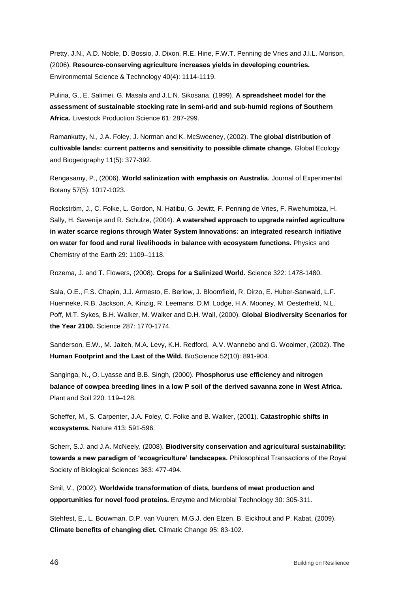Pretty, J.N., A.D. Noble, D. Bossio, J. Dixon, R.E. Hine, F.W.T. Penning de Vries and J.I.L. Morison, (2006). **Resource-conserving agriculture increases yields in developing countries.** Environmental Science & Technology 40(4): 1114-1119.

Pulina, G., E. Salimei, G. Masala and J.L.N. Sikosana, (1999). **A spreadsheet model for the assessment of sustainable stocking rate in semi-arid and sub-humid regions of Southern Africa.** Livestock Production Science 61: 287-299.

Ramankutty, N., J.A. Foley, J. Norman and K. McSweeney, (2002). **The global distribution of cultivable lands: current patterns and sensitivity to possible climate change.** Global Ecology and Biogeography 11(5): 377-392.

Rengasamy, P., (2006). **World salinization with emphasis on Australia.** Journal of Experimental Botany 57(5): 1017-1023.

Rockström, J., C. Folke, L. Gordon, N. Hatibu, G. Jewitt, F. Penning de Vries, F. Rwehumbiza, H. Sally, H. Savenije and R. Schulze, (2004). **A watershed approach to upgrade rainfed agriculture in water scarce regions through Water System Innovations: an integrated research initiative on water for food and rural livelihoods in balance with ecosystem functions.** Physics and Chemistry of the Earth 29: 1109–1118.

Rozema, J. and T. Flowers, (2008). **Crops for a Salinized World.** Science 322: 1478-1480.

Sala, O.E., F.S. Chapin, J.J. Armesto, E. Berlow, J. Bloomfield, R. Dirzo, E. Huber-Sanwald, L.F. Huenneke, R.B. Jackson, A. Kinzig, R. Leemans, D.M. Lodge, H.A. Mooney, M. Oesterheld, N.L. Poff, M.T. Sykes, B.H. Walker, M. Walker and D.H. Wall, (2000). **Global Biodiversity Scenarios for the Year 2100.** Science 287: 1770-1774.

Sanderson, E.W., M. Jaiteh, M.A. Levy, K.H. Redford, A.V. Wannebo and G. Woolmer, (2002). **The Human Footprint and the Last of the Wild.** BioScience 52(10): 891-904.

Sanginga, N., O. Lyasse and B.B. Singh, (2000). **Phosphorus use efficiency and nitrogen balance of cowpea breeding lines in a low P soil of the derived savanna zone in West Africa.** Plant and Soil 220: 119–128.

Scheffer, M., S. Carpenter, J.A. Foley, C. Folke and B. Walker, (2001). **Catastrophic shifts in ecosystems.** Nature 413: 591-596.

Scherr, S.J. and J.A. McNeely, (2008). **Biodiversity conservation and agricultural sustainability: towards a new paradigm of 'ecoagriculture' landscapes.** Philosophical Transactions of the Royal Society of Biological Sciences 363: 477-494.

Smil, V., (2002). **Worldwide transformation of diets, burdens of meat production and opportunities for novel food proteins.** Enzyme and Microbial Technology 30: 305-311.

Stehfest, E., L. Bouwman, D.P. van Vuuren, M.G.J. den Elzen, B. Eickhout and P. Kabat, (2009). **Climate benefits of changing diet.** Climatic Change 95: 83-102.